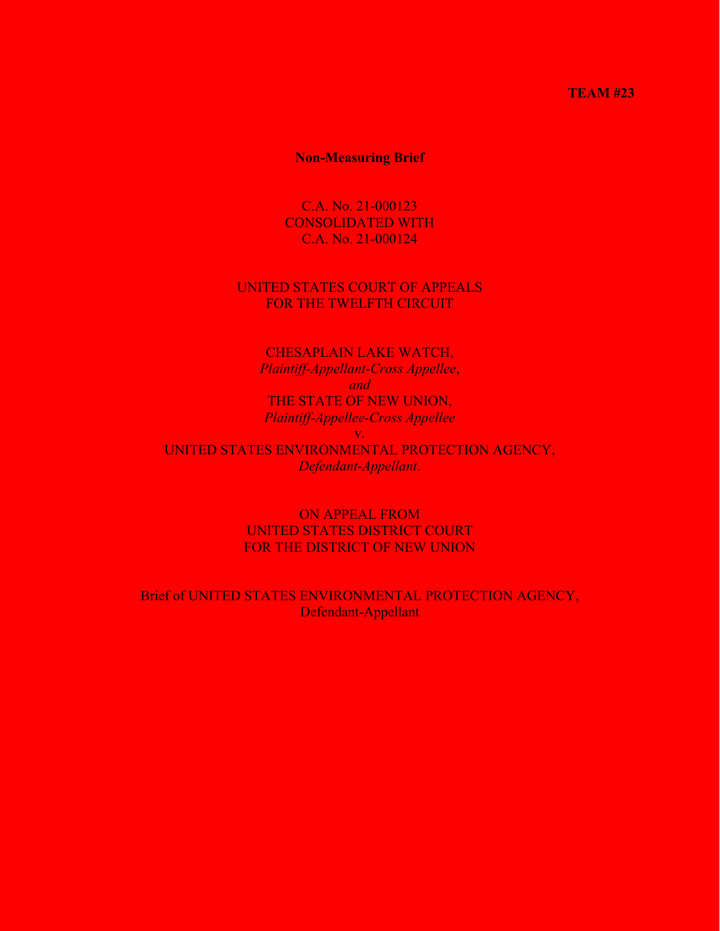#### **TEAM #23**

### **Non-Measuring Brief**

C.A. No. 21-000123 CONSOLIDATED WITH C.A. No. 21-000124

### UNITED STATES COURT OF APPEALS FOR THE TWELFTH CIRCUIT

CHESAPLAIN LAKE WATCH, *Plaintiff-Appellant-Cross Appellee*, *and* THE STATE OF NEW UNION, *Plaintiff-Appellee-Cross Appellee* v. UNITED STATES ENVIRONMENTAL PROTECTION AGENCY, *Defendant-Appellant*.

> ON APPEAL FROM UNITED STATES DISTRICT COURT FOR THE DISTRICT OF NEW UNION

Brief of UNITED STATES ENVIRONMENTAL PROTECTION AGENCY, Defendant-Appellant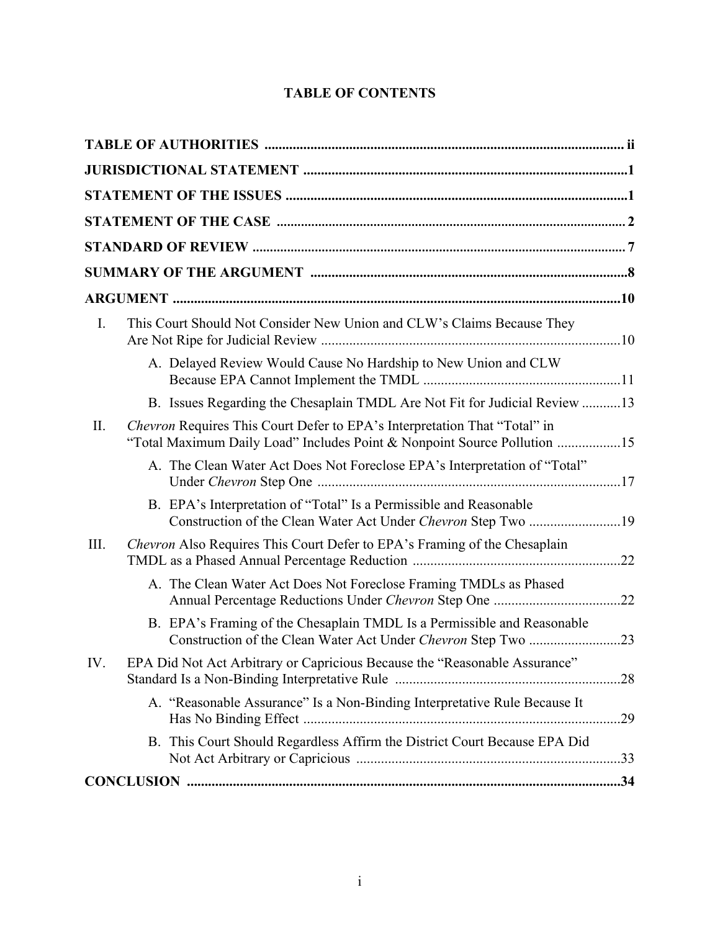# **TABLE OF CONTENTS**

| I.   | This Court Should Not Consider New Union and CLW's Claims Because They                                                                                       |     |
|------|--------------------------------------------------------------------------------------------------------------------------------------------------------------|-----|
|      | A. Delayed Review Would Cause No Hardship to New Union and CLW                                                                                               |     |
|      | B. Issues Regarding the Chesaplain TMDL Are Not Fit for Judicial Review 13                                                                                   |     |
| Π.   | <i>Chevron</i> Requires This Court Defer to EPA's Interpretation That "Total" in<br>"Total Maximum Daily Load" Includes Point & Nonpoint Source Pollution 15 |     |
|      | A. The Clean Water Act Does Not Foreclose EPA's Interpretation of "Total"                                                                                    |     |
|      | B. EPA's Interpretation of "Total" Is a Permissible and Reasonable<br>Construction of the Clean Water Act Under Chevron Step Two 19                          |     |
| III. | <i>Chevron</i> Also Requires This Court Defer to EPA's Framing of the Chesaplain                                                                             |     |
|      | A. The Clean Water Act Does Not Foreclose Framing TMDLs as Phased                                                                                            |     |
|      | B. EPA's Framing of the Chesaplain TMDL Is a Permissible and Reasonable                                                                                      |     |
| IV.  | EPA Did Not Act Arbitrary or Capricious Because the "Reasonable Assurance"                                                                                   |     |
|      | A. "Reasonable Assurance" Is a Non-Binding Interpretative Rule Because It                                                                                    | .29 |
|      | B. This Court Should Regardless Affirm the District Court Because EPA Did                                                                                    |     |
|      |                                                                                                                                                              |     |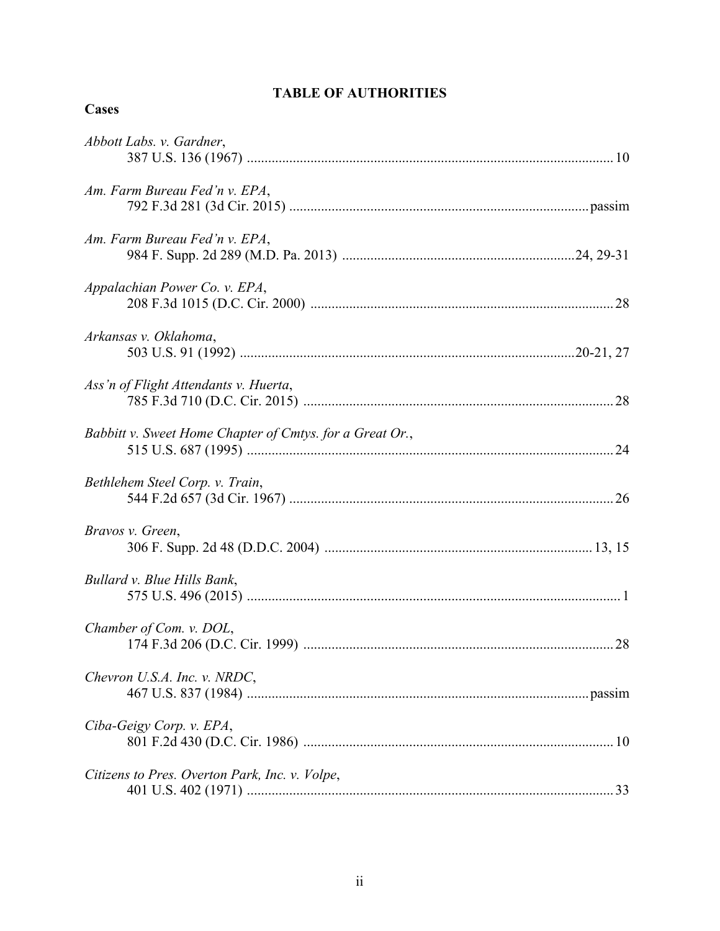# **TABLE OF AUTHORITIES**

## **Cases**

| Abbott Labs. v. Gardner,                                 |
|----------------------------------------------------------|
| Am. Farm Bureau Fed'n v. EPA,                            |
| Am. Farm Bureau Fed'n v. EPA,                            |
| Appalachian Power Co. v. EPA,                            |
| Arkansas v. Oklahoma,                                    |
| Ass'n of Flight Attendants v. Huerta,                    |
| Babbitt v. Sweet Home Chapter of Cmtys. for a Great Or., |
| Bethlehem Steel Corp. v. Train,                          |
| Bravos v. Green,                                         |
| Bullard v. Blue Hills Bank,                              |
| Chamber of Com. v. DOL,                                  |
| Chevron U.S.A. Inc. v. NRDC,                             |
| Ciba-Geigy Corp. v. EPA,                                 |
| Citizens to Pres. Overton Park, Inc. v. Volpe,           |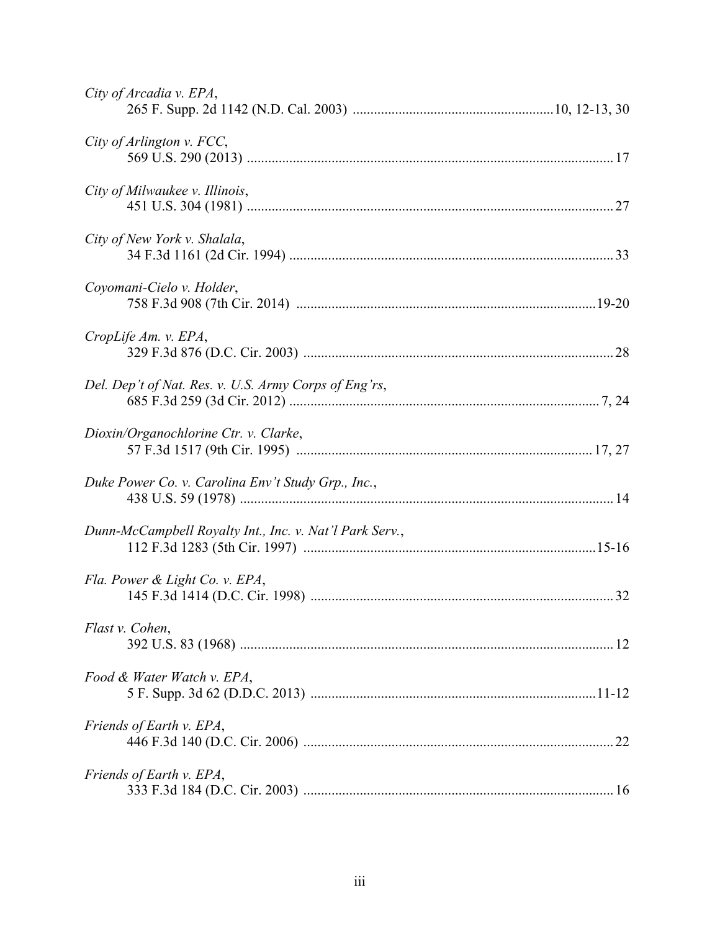| City of Arcadia v. EPA,                                 |
|---------------------------------------------------------|
| City of Arlington v. FCC,                               |
| City of Milwaukee v. Illinois,                          |
| City of New York v. Shalala,                            |
| Coyomani-Cielo v. Holder,                               |
| CropLife Am. v. EPA,                                    |
| Del. Dep't of Nat. Res. v. U.S. Army Corps of Eng'rs,   |
| Dioxin/Organochlorine Ctr. v. Clarke,                   |
| Duke Power Co. v. Carolina Env't Study Grp., Inc.,      |
| Dunn-McCampbell Royalty Int., Inc. v. Nat'l Park Serv., |
| Fla. Power & Light Co. v. EPA,                          |
| Flast v. Cohen,                                         |
| Food & Water Watch v. EPA,                              |
| Friends of Earth v. EPA,                                |
| Friends of Earth v. EPA,                                |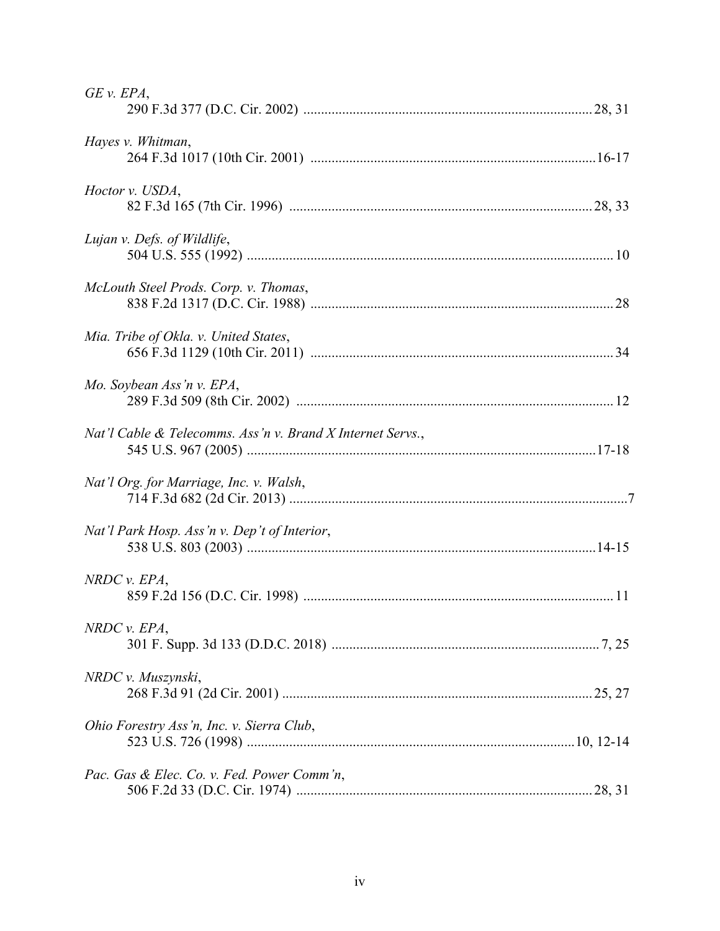| $GE$ v. $EPA$ ,                                            |
|------------------------------------------------------------|
| Hayes v. Whitman,                                          |
| Hoctor v. USDA,                                            |
| Lujan v. Defs. of Wildlife,                                |
| McLouth Steel Prods. Corp. v. Thomas,                      |
| Mia. Tribe of Okla. v. United States,                      |
| Mo. Soybean Ass'n v. EPA,                                  |
| Nat'l Cable & Telecomms. Ass'n v. Brand X Internet Servs., |
| Nat'l Org. for Marriage, Inc. v. Walsh,                    |
| Nat'l Park Hosp. Ass'n v. Dep't of Interior,               |
| NRDC v. EPA,                                               |
| NRDC v. EPA,                                               |
| NRDC v. Muszynski,                                         |
| Ohio Forestry Ass'n, Inc. v. Sierra Club,                  |
| Pac. Gas & Elec. Co. v. Fed. Power Comm'n,                 |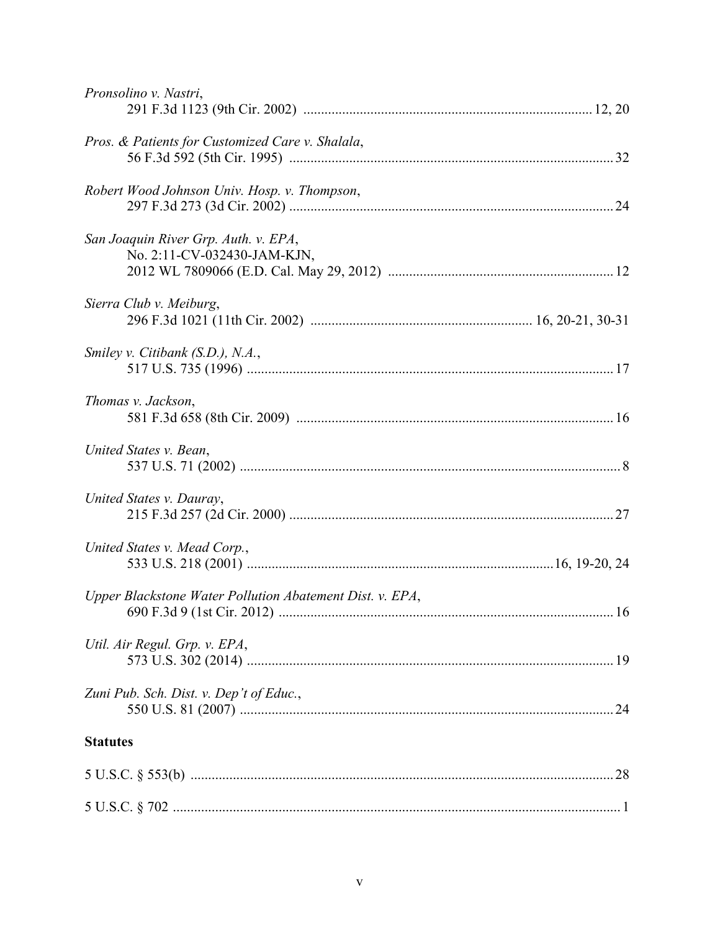| Pronsolino v. Nastri,                                               |  |
|---------------------------------------------------------------------|--|
| Pros. & Patients for Customized Care v. Shalala,                    |  |
| Robert Wood Johnson Univ. Hosp. v. Thompson,                        |  |
| San Joaquin River Grp. Auth. v. EPA,<br>No. 2:11-CV-032430-JAM-KJN, |  |
| Sierra Club v. Meiburg,                                             |  |
| Smiley v. Citibank (S.D.), N.A.,                                    |  |
| Thomas v. Jackson,                                                  |  |
| United States v. Bean,                                              |  |
| United States v. Dauray,                                            |  |
| United States v. Mead Corp.,                                        |  |
| Upper Blackstone Water Pollution Abatement Dist. v. EPA,            |  |
| Util. Air Regul. Grp. v. EPA,                                       |  |
| Zuni Pub. Sch. Dist. v. Dep't of Educ.,                             |  |
| <b>Statutes</b>                                                     |  |
|                                                                     |  |
|                                                                     |  |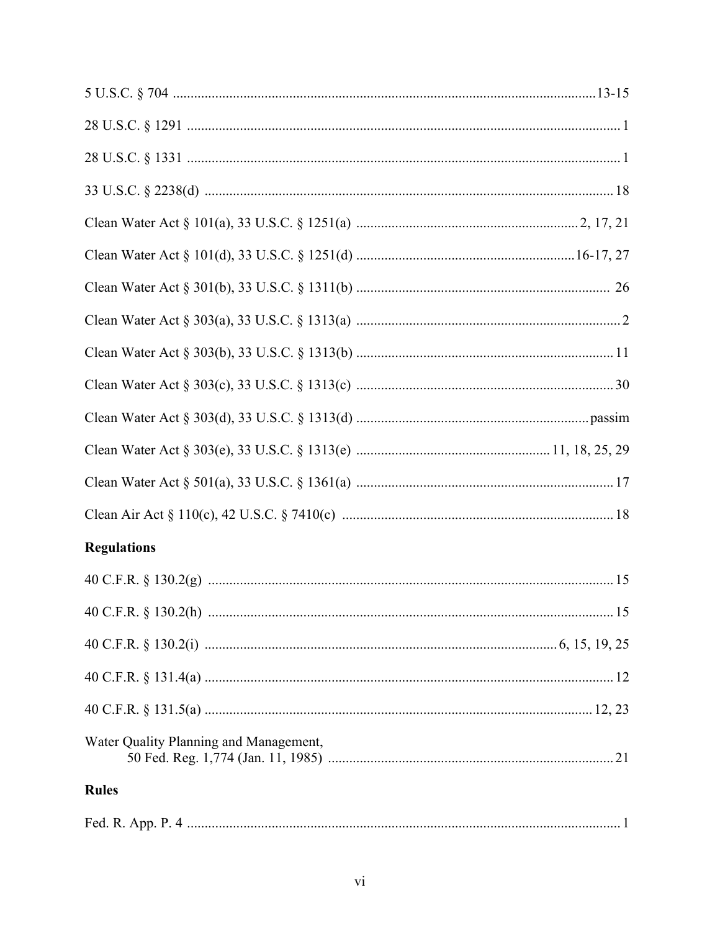| <b>Regulations</b>                     |  |
|----------------------------------------|--|
|                                        |  |
|                                        |  |
|                                        |  |
|                                        |  |
|                                        |  |
| Water Quality Planning and Management, |  |
| <b>Rules</b>                           |  |
|                                        |  |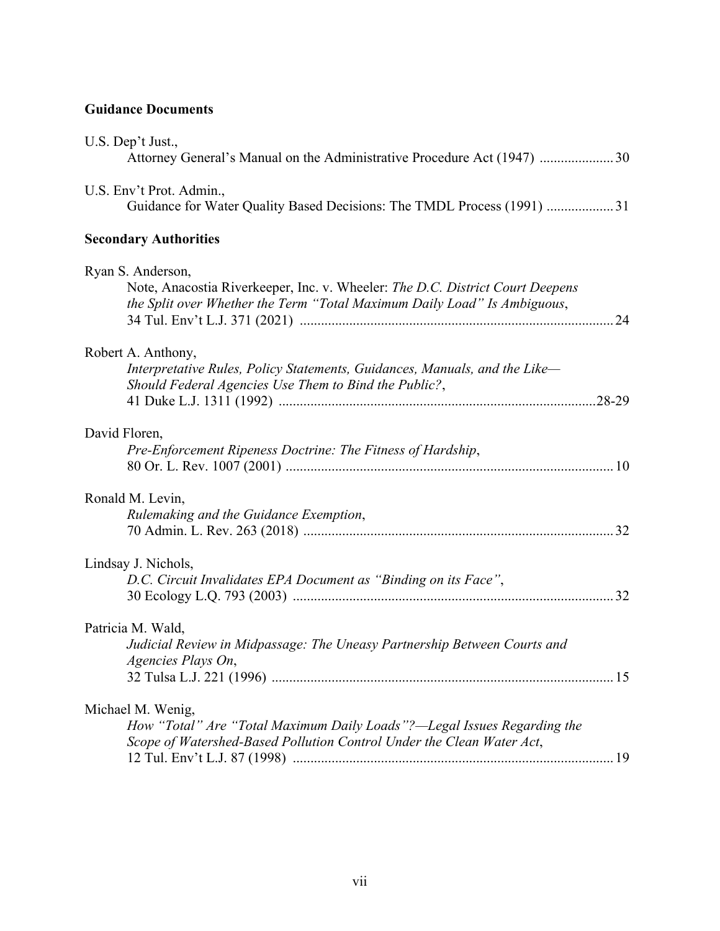# **Guidance Documents**

| U.S. Dep't Just.,<br>Attorney General's Manual on the Administrative Procedure Act (1947) 30                                                                                   |
|--------------------------------------------------------------------------------------------------------------------------------------------------------------------------------|
| U.S. Env't Prot. Admin.,<br>Guidance for Water Quality Based Decisions: The TMDL Process (1991)  31                                                                            |
| <b>Secondary Authorities</b>                                                                                                                                                   |
| Ryan S. Anderson,<br>Note, Anacostia Riverkeeper, Inc. v. Wheeler: The D.C. District Court Deepens<br>the Split over Whether the Term "Total Maximum Daily Load" Is Ambiguous, |
| Robert A. Anthony,<br>Interpretative Rules, Policy Statements, Guidances, Manuals, and the Like-<br>Should Federal Agencies Use Them to Bind the Public?,                      |
| David Floren,<br>Pre-Enforcement Ripeness Doctrine: The Fitness of Hardship,                                                                                                   |
| Ronald M. Levin,<br>Rulemaking and the Guidance Exemption,                                                                                                                     |
| Lindsay J. Nichols,<br>D.C. Circuit Invalidates EPA Document as "Binding on its Face",                                                                                         |
| Patricia M. Wald,<br>Judicial Review in Midpassage: The Uneasy Partnership Between Courts and<br>Agencies Plays On                                                             |
| Michael M. Wenig,<br>How "Total" Are "Total Maximum Daily Loads"?—Legal Issues Regarding the<br>Scope of Watershed-Based Pollution Control Under the Clean Water Act,          |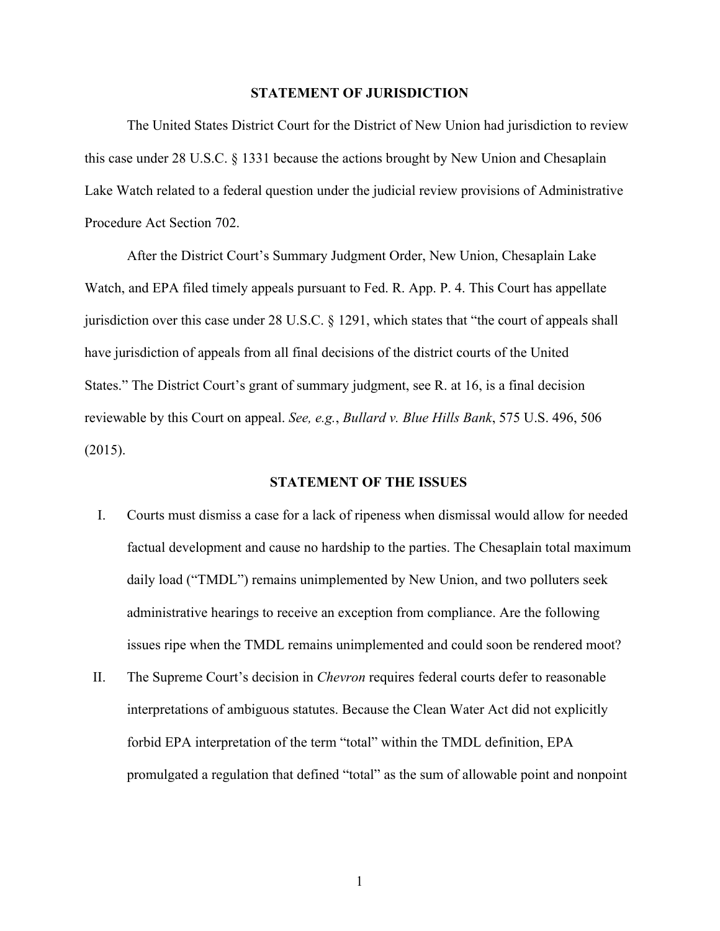#### **STATEMENT OF JURISDICTION**

The United States District Court for the District of New Union had jurisdiction to review this case under 28 U.S.C. § 1331 because the actions brought by New Union and Chesaplain Lake Watch related to a federal question under the judicial review provisions of Administrative Procedure Act Section 702.

After the District Court's Summary Judgment Order, New Union, Chesaplain Lake Watch, and EPA filed timely appeals pursuant to Fed. R. App. P. 4. This Court has appellate jurisdiction over this case under 28 U.S.C. § 1291, which states that "the court of appeals shall have jurisdiction of appeals from all final decisions of the district courts of the United States." The District Court's grant of summary judgment, see R. at 16, is a final decision reviewable by this Court on appeal. *See, e.g.*, *Bullard v. Blue Hills Bank*, 575 U.S. 496, 506 (2015).

#### **STATEMENT OF THE ISSUES**

- I. Courts must dismiss a case for a lack of ripeness when dismissal would allow for needed factual development and cause no hardship to the parties. The Chesaplain total maximum daily load ("TMDL") remains unimplemented by New Union, and two polluters seek administrative hearings to receive an exception from compliance. Are the following issues ripe when the TMDL remains unimplemented and could soon be rendered moot?
- II. The Supreme Court's decision in *Chevron* requires federal courts defer to reasonable interpretations of ambiguous statutes. Because the Clean Water Act did not explicitly forbid EPA interpretation of the term "total" within the TMDL definition, EPA promulgated a regulation that defined "total" as the sum of allowable point and nonpoint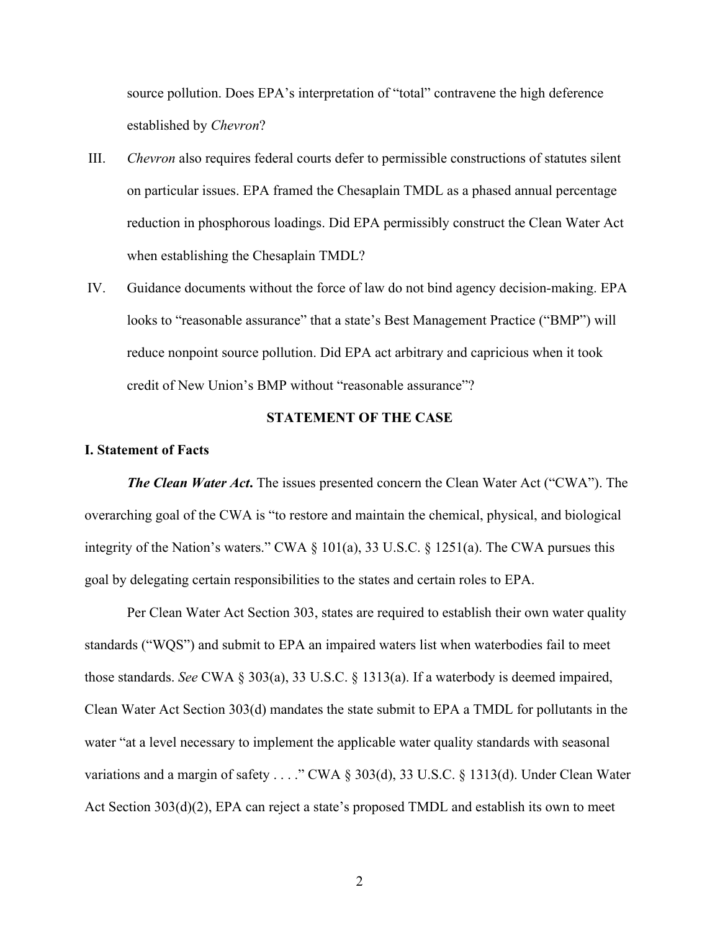source pollution. Does EPA's interpretation of "total" contravene the high deference established by *Chevron*?

- III. *Chevron* also requires federal courts defer to permissible constructions of statutes silent on particular issues. EPA framed the Chesaplain TMDL as a phased annual percentage reduction in phosphorous loadings. Did EPA permissibly construct the Clean Water Act when establishing the Chesaplain TMDL?
- IV. Guidance documents without the force of law do not bind agency decision-making. EPA looks to "reasonable assurance" that a state's Best Management Practice ("BMP") will reduce nonpoint source pollution. Did EPA act arbitrary and capricious when it took credit of New Union's BMP without "reasonable assurance"?

#### **STATEMENT OF THE CASE**

#### **I. Statement of Facts**

*The Clean Water Act***.** The issues presented concern the Clean Water Act ("CWA"). The overarching goal of the CWA is "to restore and maintain the chemical, physical, and biological integrity of the Nation's waters." CWA § 101(a), 33 U.S.C. § 1251(a). The CWA pursues this goal by delegating certain responsibilities to the states and certain roles to EPA.

Per Clean Water Act Section 303, states are required to establish their own water quality standards ("WQS") and submit to EPA an impaired waters list when waterbodies fail to meet those standards. *See* CWA § 303(a), 33 U.S.C. § 1313(a). If a waterbody is deemed impaired, Clean Water Act Section 303(d) mandates the state submit to EPA a TMDL for pollutants in the water "at a level necessary to implement the applicable water quality standards with seasonal variations and a margin of safety . . . ." CWA § 303(d), 33 U.S.C. § 1313(d). Under Clean Water Act Section 303(d)(2), EPA can reject a state's proposed TMDL and establish its own to meet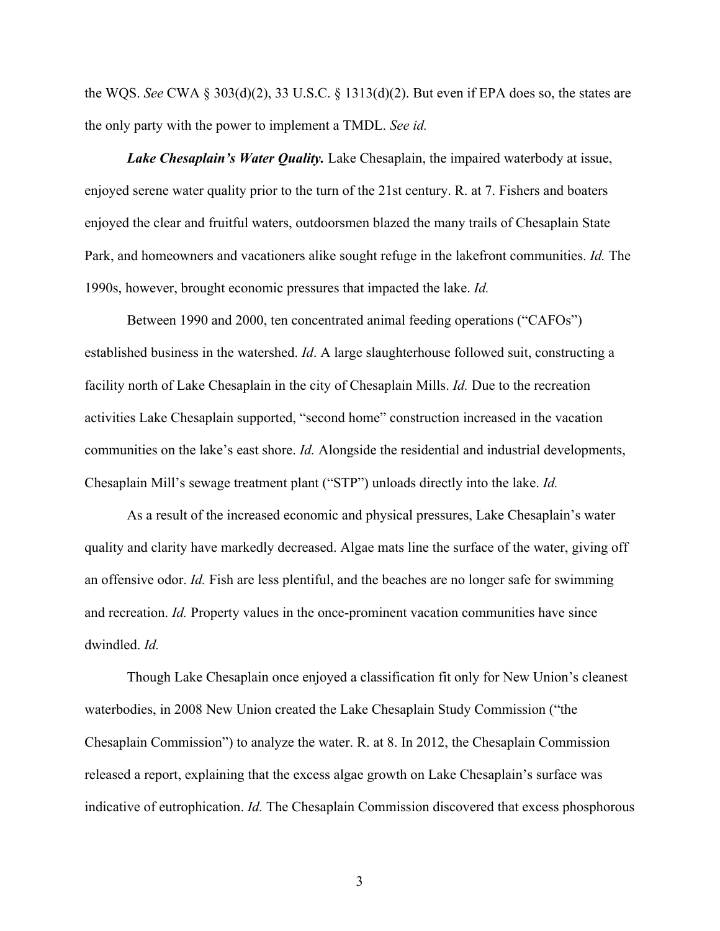the WQS. *See* CWA § 303(d)(2), 33 U.S.C. § 1313(d)(2). But even if EPA does so, the states are the only party with the power to implement a TMDL. *See id.*

*Lake Chesaplain's Water Quality.* Lake Chesaplain, the impaired waterbody at issue, enjoyed serene water quality prior to the turn of the 21st century. R. at 7. Fishers and boaters enjoyed the clear and fruitful waters, outdoorsmen blazed the many trails of Chesaplain State Park, and homeowners and vacationers alike sought refuge in the lakefront communities. *Id.* The 1990s, however, brought economic pressures that impacted the lake. *Id.*

Between 1990 and 2000, ten concentrated animal feeding operations ("CAFOs") established business in the watershed. *Id*. A large slaughterhouse followed suit, constructing a facility north of Lake Chesaplain in the city of Chesaplain Mills. *Id.* Due to the recreation activities Lake Chesaplain supported, "second home" construction increased in the vacation communities on the lake's east shore. *Id.* Alongside the residential and industrial developments, Chesaplain Mill's sewage treatment plant ("STP") unloads directly into the lake. *Id.*

As a result of the increased economic and physical pressures, Lake Chesaplain's water quality and clarity have markedly decreased. Algae mats line the surface of the water, giving off an offensive odor. *Id.* Fish are less plentiful, and the beaches are no longer safe for swimming and recreation. *Id.* Property values in the once-prominent vacation communities have since dwindled. *Id.*

Though Lake Chesaplain once enjoyed a classification fit only for New Union's cleanest waterbodies, in 2008 New Union created the Lake Chesaplain Study Commission ("the Chesaplain Commission") to analyze the water. R. at 8. In 2012, the Chesaplain Commission released a report, explaining that the excess algae growth on Lake Chesaplain's surface was indicative of eutrophication. *Id.* The Chesaplain Commission discovered that excess phosphorous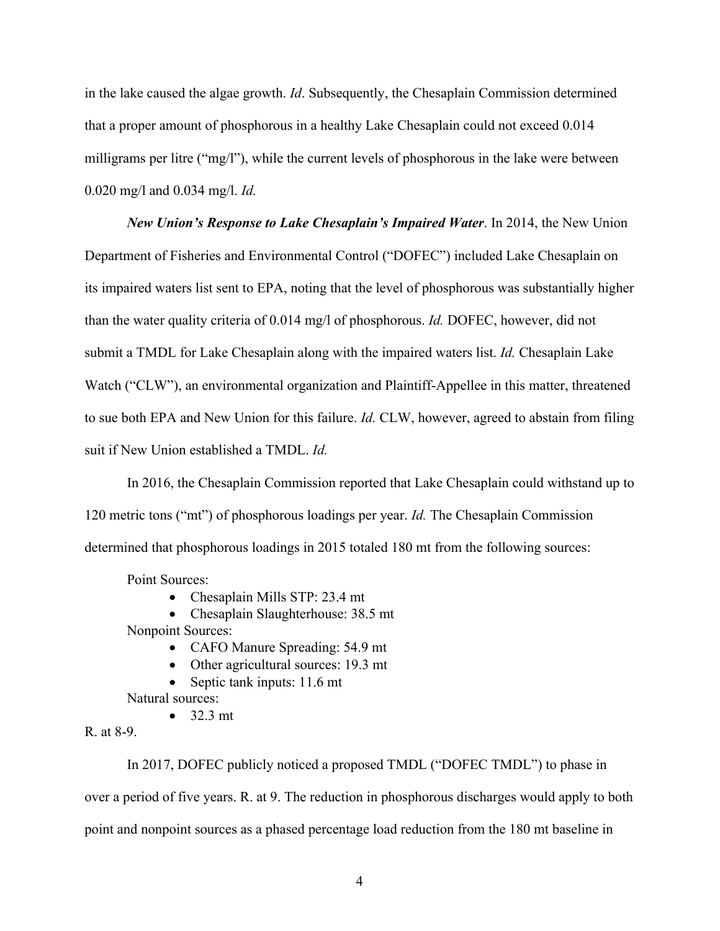in the lake caused the algae growth. *Id*. Subsequently, the Chesaplain Commission determined that a proper amount of phosphorous in a healthy Lake Chesaplain could not exceed 0.014 milligrams per litre ("mg/l"), while the current levels of phosphorous in the lake were between 0.020 mg/l and 0.034 mg/l. *Id.*

*New Union's Response to Lake Chesaplain's Impaired Water*. In 2014, the New Union Department of Fisheries and Environmental Control ("DOFEC") included Lake Chesaplain on its impaired waters list sent to EPA, noting that the level of phosphorous was substantially higher than the water quality criteria of 0.014 mg/l of phosphorous. *Id.* DOFEC, however, did not submit a TMDL for Lake Chesaplain along with the impaired waters list. *Id.* Chesaplain Lake Watch ("CLW"), an environmental organization and Plaintiff-Appellee in this matter, threatened to sue both EPA and New Union for this failure. *Id.* CLW, however, agreed to abstain from filing suit if New Union established a TMDL. *Id.*

In 2016, the Chesaplain Commission reported that Lake Chesaplain could withstand up to 120 metric tons ("mt") of phosphorous loadings per year. *Id.* The Chesaplain Commission determined that phosphorous loadings in 2015 totaled 180 mt from the following sources:

Point Sources:

• Chesaplain Mills STP: 23.4 mt

• Chesaplain Slaughterhouse: 38.5 mt Nonpoint Sources:

- CAFO Manure Spreading: 54.9 mt
- Other agricultural sources: 19.3 mt
- Septic tank inputs: 11.6 mt

Natural sources:

 $\bullet$  32.3 mt

R. at 8-9.

In 2017, DOFEC publicly noticed a proposed TMDL ("DOFEC TMDL") to phase in over a period of five years. R. at 9. The reduction in phosphorous discharges would apply to both point and nonpoint sources as a phased percentage load reduction from the 180 mt baseline in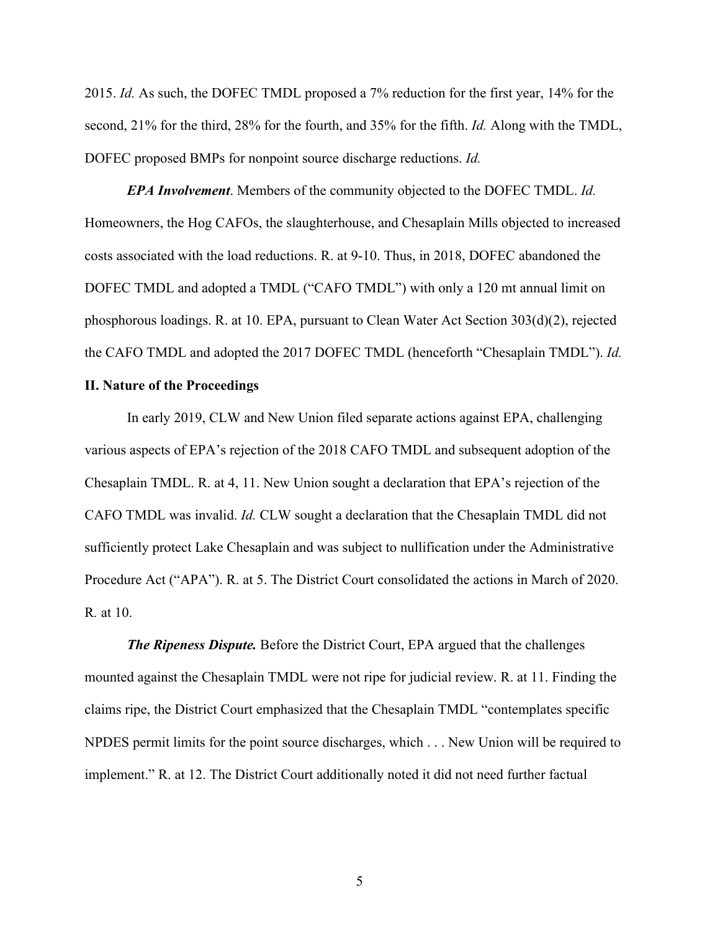2015. *Id.* As such, the DOFEC TMDL proposed a 7% reduction for the first year, 14% for the second, 21% for the third, 28% for the fourth, and 35% for the fifth. *Id.* Along with the TMDL, DOFEC proposed BMPs for nonpoint source discharge reductions. *Id.* 

*EPA Involvement*. Members of the community objected to the DOFEC TMDL. *Id.*  Homeowners, the Hog CAFOs, the slaughterhouse, and Chesaplain Mills objected to increased costs associated with the load reductions. R. at 9-10. Thus, in 2018, DOFEC abandoned the DOFEC TMDL and adopted a TMDL ("CAFO TMDL") with only a 120 mt annual limit on phosphorous loadings. R. at 10. EPA, pursuant to Clean Water Act Section 303(d)(2), rejected the CAFO TMDL and adopted the 2017 DOFEC TMDL (henceforth "Chesaplain TMDL"). *Id.*

#### **II. Nature of the Proceedings**

In early 2019, CLW and New Union filed separate actions against EPA, challenging various aspects of EPA's rejection of the 2018 CAFO TMDL and subsequent adoption of the Chesaplain TMDL. R. at 4, 11. New Union sought a declaration that EPA's rejection of the CAFO TMDL was invalid. *Id.* CLW sought a declaration that the Chesaplain TMDL did not sufficiently protect Lake Chesaplain and was subject to nullification under the Administrative Procedure Act ("APA"). R. at 5. The District Court consolidated the actions in March of 2020. R*.* at 10.

*The Ripeness Dispute.* Before the District Court, EPA argued that the challenges mounted against the Chesaplain TMDL were not ripe for judicial review. R. at 11. Finding the claims ripe, the District Court emphasized that the Chesaplain TMDL "contemplates specific NPDES permit limits for the point source discharges, which . . . New Union will be required to implement." R. at 12. The District Court additionally noted it did not need further factual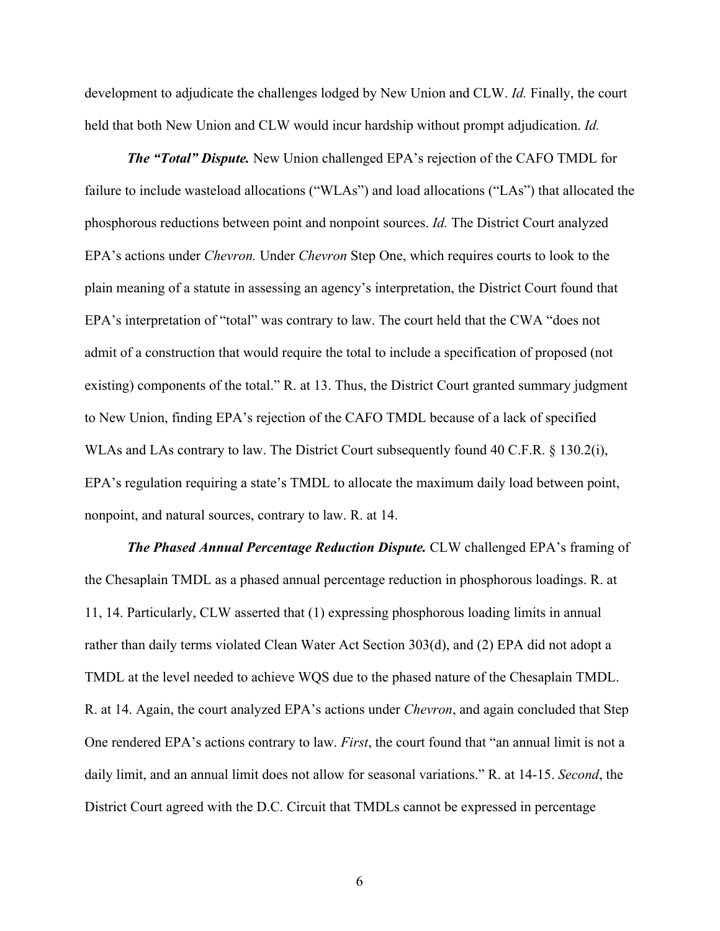development to adjudicate the challenges lodged by New Union and CLW. *Id.* Finally, the court held that both New Union and CLW would incur hardship without prompt adjudication. *Id.*

*The "Total" Dispute.* New Union challenged EPA's rejection of the CAFO TMDL for failure to include wasteload allocations ("WLAs") and load allocations ("LAs") that allocated the phosphorous reductions between point and nonpoint sources. *Id.* The District Court analyzed EPA's actions under *Chevron.* Under *Chevron* Step One, which requires courts to look to the plain meaning of a statute in assessing an agency's interpretation, the District Court found that EPA's interpretation of "total" was contrary to law. The court held that the CWA "does not admit of a construction that would require the total to include a specification of proposed (not existing) components of the total." R. at 13. Thus, the District Court granted summary judgment to New Union, finding EPA's rejection of the CAFO TMDL because of a lack of specified WLAs and LAs contrary to law. The District Court subsequently found 40 C.F.R. § 130.2(i), EPA's regulation requiring a state's TMDL to allocate the maximum daily load between point, nonpoint, and natural sources, contrary to law. R. at 14.

*The Phased Annual Percentage Reduction Dispute.* CLW challenged EPA's framing of the Chesaplain TMDL as a phased annual percentage reduction in phosphorous loadings. R. at 11, 14. Particularly, CLW asserted that (1) expressing phosphorous loading limits in annual rather than daily terms violated Clean Water Act Section 303(d), and (2) EPA did not adopt a TMDL at the level needed to achieve WQS due to the phased nature of the Chesaplain TMDL. R. at 14. Again, the court analyzed EPA's actions under *Chevron*, and again concluded that Step One rendered EPA's actions contrary to law. *First*, the court found that "an annual limit is not a daily limit, and an annual limit does not allow for seasonal variations." R. at 14-15. *Second*, the District Court agreed with the D.C. Circuit that TMDLs cannot be expressed in percentage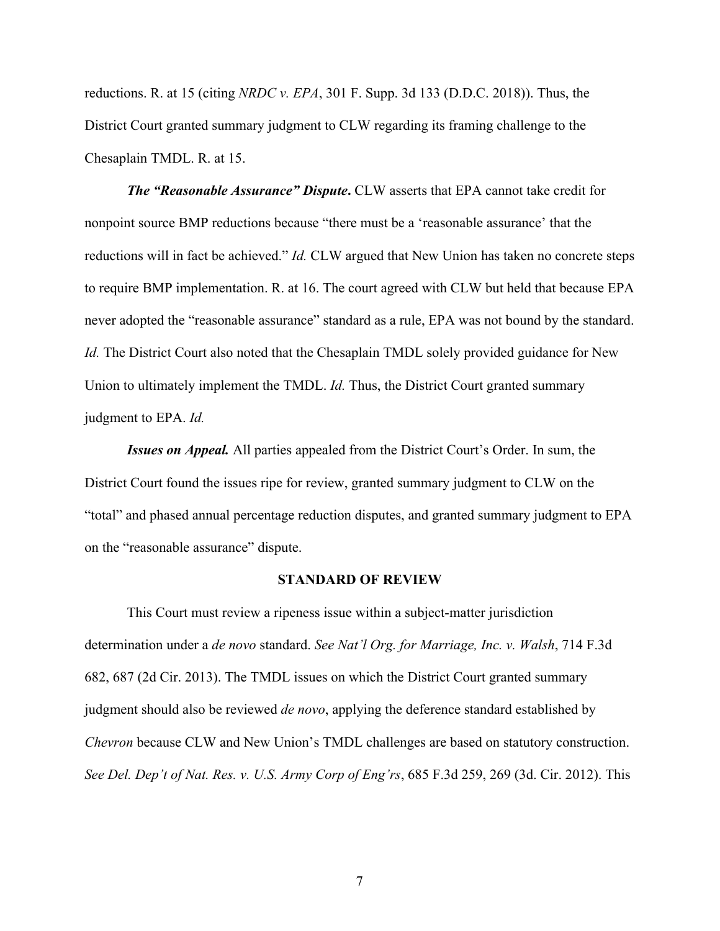reductions. R. at 15 (citing *NRDC v. EPA*, 301 F. Supp. 3d 133 (D.D.C. 2018)). Thus, the District Court granted summary judgment to CLW regarding its framing challenge to the Chesaplain TMDL. R. at 15.

*The "Reasonable Assurance" Dispute***.** CLW asserts that EPA cannot take credit for nonpoint source BMP reductions because "there must be a 'reasonable assurance' that the reductions will in fact be achieved." *Id.* CLW argued that New Union has taken no concrete steps to require BMP implementation. R. at 16. The court agreed with CLW but held that because EPA never adopted the "reasonable assurance" standard as a rule, EPA was not bound by the standard. *Id.* The District Court also noted that the Chesaplain TMDL solely provided guidance for New Union to ultimately implement the TMDL. *Id.* Thus, the District Court granted summary judgment to EPA. *Id.*

*Issues on Appeal.* All parties appealed from the District Court's Order. In sum, the District Court found the issues ripe for review, granted summary judgment to CLW on the "total" and phased annual percentage reduction disputes, and granted summary judgment to EPA on the "reasonable assurance" dispute.

#### **STANDARD OF REVIEW**

This Court must review a ripeness issue within a subject-matter jurisdiction determination under a *de novo* standard. *See Nat'l Org. for Marriage, Inc. v. Walsh*, 714 F.3d 682, 687 (2d Cir. 2013). The TMDL issues on which the District Court granted summary judgment should also be reviewed *de novo*, applying the deference standard established by *Chevron* because CLW and New Union's TMDL challenges are based on statutory construction. *See Del. Dep't of Nat. Res. v. U.S. Army Corp of Eng'rs*, 685 F.3d 259, 269 (3d. Cir. 2012). This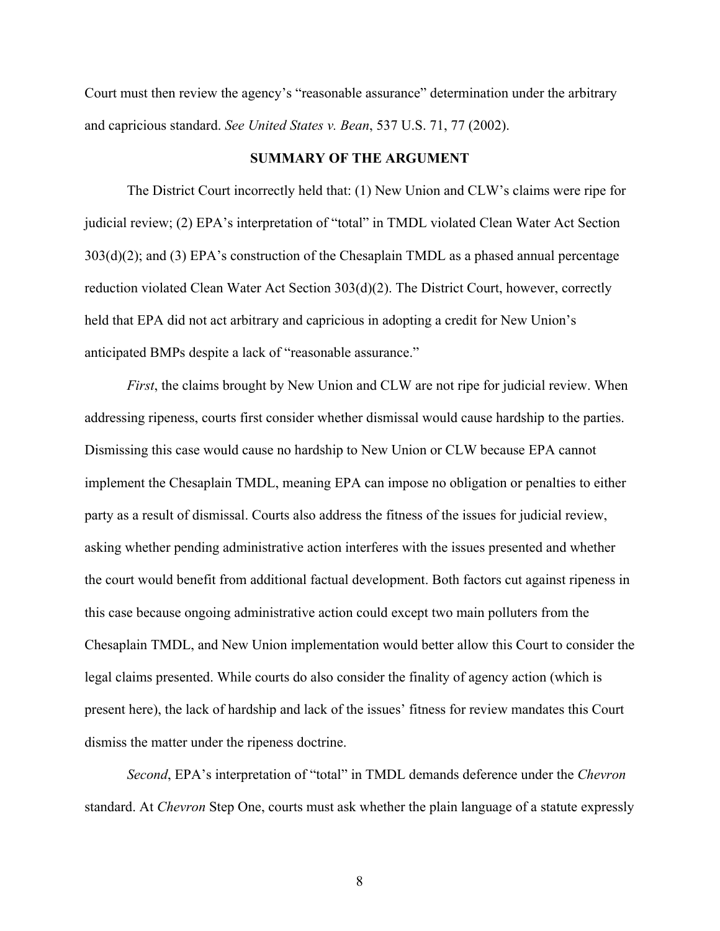Court must then review the agency's "reasonable assurance" determination under the arbitrary and capricious standard. *See United States v. Bean*, 537 U.S. 71, 77 (2002).

#### **SUMMARY OF THE ARGUMENT**

The District Court incorrectly held that: (1) New Union and CLW's claims were ripe for judicial review; (2) EPA's interpretation of "total" in TMDL violated Clean Water Act Section 303(d)(2); and (3) EPA's construction of the Chesaplain TMDL as a phased annual percentage reduction violated Clean Water Act Section 303(d)(2). The District Court, however, correctly held that EPA did not act arbitrary and capricious in adopting a credit for New Union's anticipated BMPs despite a lack of "reasonable assurance."

*First*, the claims brought by New Union and CLW are not ripe for judicial review. When addressing ripeness, courts first consider whether dismissal would cause hardship to the parties. Dismissing this case would cause no hardship to New Union or CLW because EPA cannot implement the Chesaplain TMDL, meaning EPA can impose no obligation or penalties to either party as a result of dismissal. Courts also address the fitness of the issues for judicial review, asking whether pending administrative action interferes with the issues presented and whether the court would benefit from additional factual development. Both factors cut against ripeness in this case because ongoing administrative action could except two main polluters from the Chesaplain TMDL, and New Union implementation would better allow this Court to consider the legal claims presented. While courts do also consider the finality of agency action (which is present here), the lack of hardship and lack of the issues' fitness for review mandates this Court dismiss the matter under the ripeness doctrine.

*Second*, EPA's interpretation of "total" in TMDL demands deference under the *Chevron* standard. At *Chevron* Step One, courts must ask whether the plain language of a statute expressly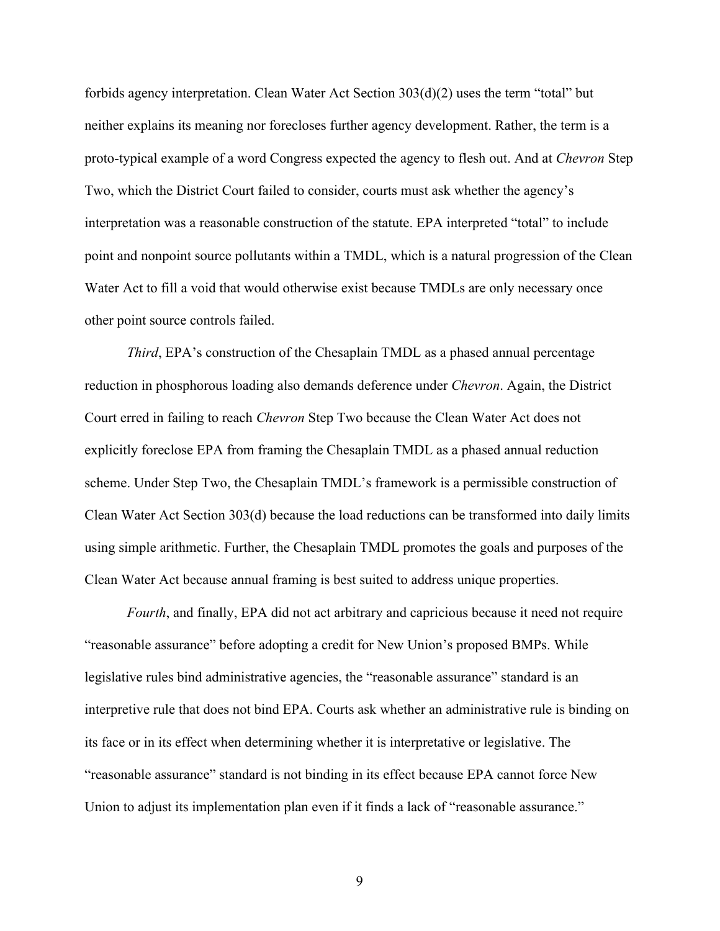forbids agency interpretation. Clean Water Act Section 303(d)(2) uses the term "total" but neither explains its meaning nor forecloses further agency development. Rather, the term is a proto-typical example of a word Congress expected the agency to flesh out. And at *Chevron* Step Two, which the District Court failed to consider, courts must ask whether the agency's interpretation was a reasonable construction of the statute. EPA interpreted "total" to include point and nonpoint source pollutants within a TMDL, which is a natural progression of the Clean Water Act to fill a void that would otherwise exist because TMDLs are only necessary once other point source controls failed.

*Third*, EPA's construction of the Chesaplain TMDL as a phased annual percentage reduction in phosphorous loading also demands deference under *Chevron*. Again, the District Court erred in failing to reach *Chevron* Step Two because the Clean Water Act does not explicitly foreclose EPA from framing the Chesaplain TMDL as a phased annual reduction scheme. Under Step Two, the Chesaplain TMDL's framework is a permissible construction of Clean Water Act Section 303(d) because the load reductions can be transformed into daily limits using simple arithmetic. Further, the Chesaplain TMDL promotes the goals and purposes of the Clean Water Act because annual framing is best suited to address unique properties.

*Fourth*, and finally, EPA did not act arbitrary and capricious because it need not require "reasonable assurance" before adopting a credit for New Union's proposed BMPs. While legislative rules bind administrative agencies, the "reasonable assurance" standard is an interpretive rule that does not bind EPA. Courts ask whether an administrative rule is binding on its face or in its effect when determining whether it is interpretative or legislative. The "reasonable assurance" standard is not binding in its effect because EPA cannot force New Union to adjust its implementation plan even if it finds a lack of "reasonable assurance."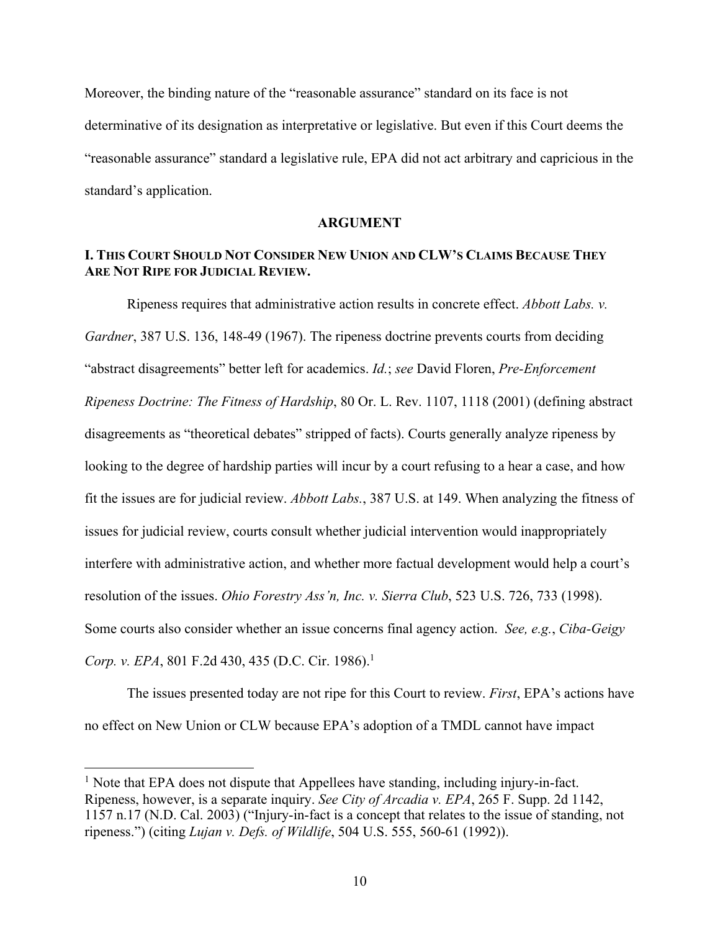Moreover, the binding nature of the "reasonable assurance" standard on its face is not determinative of its designation as interpretative or legislative. But even if this Court deems the "reasonable assurance" standard a legislative rule, EPA did not act arbitrary and capricious in the standard's application.

#### **ARGUMENT**

### **I. THIS COURT SHOULD NOT CONSIDER NEW UNION AND CLW'S CLAIMS BECAUSE THEY ARE NOT RIPE FOR JUDICIAL REVIEW.**

Ripeness requires that administrative action results in concrete effect. *Abbott Labs. v. Gardner*, 387 U.S. 136, 148-49 (1967). The ripeness doctrine prevents courts from deciding "abstract disagreements" better left for academics. *Id.*; *see* David Floren, *Pre-Enforcement Ripeness Doctrine: The Fitness of Hardship*, 80 Or. L. Rev. 1107, 1118 (2001) (defining abstract disagreements as "theoretical debates" stripped of facts). Courts generally analyze ripeness by looking to the degree of hardship parties will incur by a court refusing to a hear a case, and how fit the issues are for judicial review. *Abbott Labs.*, 387 U.S. at 149. When analyzing the fitness of issues for judicial review, courts consult whether judicial intervention would inappropriately interfere with administrative action, and whether more factual development would help a court's resolution of the issues. *Ohio Forestry Ass'n, Inc. v. Sierra Club*, 523 U.S. 726, 733 (1998). Some courts also consider whether an issue concerns final agency action. *See, e.g.*, *Ciba-Geigy Corp. v. EPA*, 801 F.2d 430, 435 (D.C. Cir. 1986).<sup>1</sup>

The issues presented today are not ripe for this Court to review. *First*, EPA's actions have no effect on New Union or CLW because EPA's adoption of a TMDL cannot have impact

<sup>&</sup>lt;sup>1</sup> Note that EPA does not dispute that Appellees have standing, including injury-in-fact. Ripeness, however, is a separate inquiry. *See City of Arcadia v. EPA*, 265 F. Supp. 2d 1142, 1157 n.17 (N.D. Cal. 2003) ("Injury-in-fact is a concept that relates to the issue of standing, not ripeness.") (citing *Lujan v. Defs. of Wildlife*, 504 U.S. 555, 560-61 (1992)).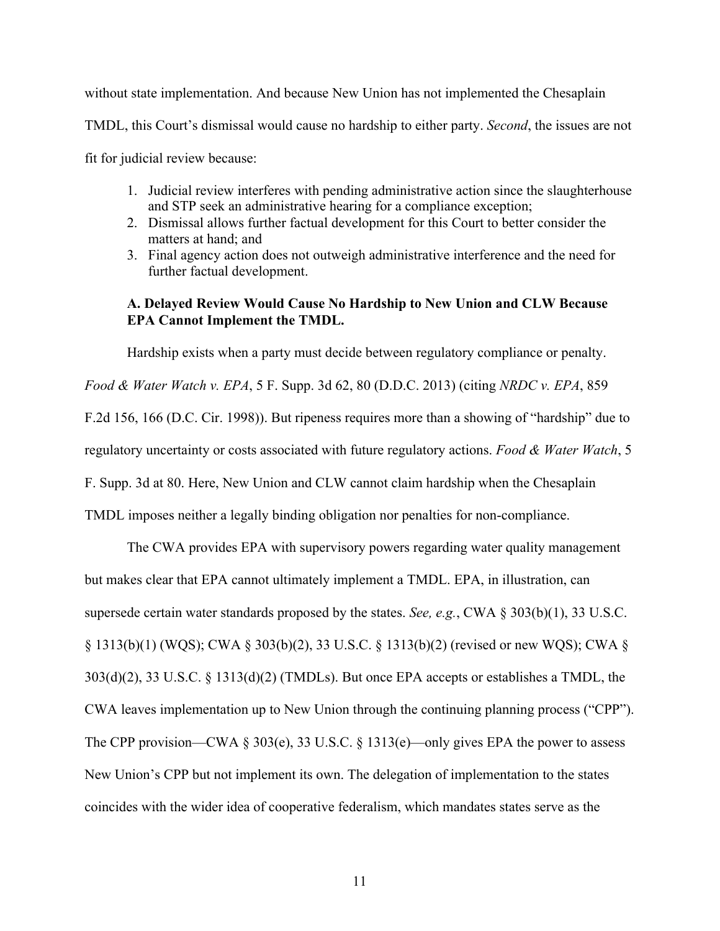without state implementation. And because New Union has not implemented the Chesaplain TMDL, this Court's dismissal would cause no hardship to either party. *Second*, the issues are not fit for judicial review because:

- 1. Judicial review interferes with pending administrative action since the slaughterhouse and STP seek an administrative hearing for a compliance exception;
- 2. Dismissal allows further factual development for this Court to better consider the matters at hand; and
- 3. Final agency action does not outweigh administrative interference and the need for further factual development.

## **A. Delayed Review Would Cause No Hardship to New Union and CLW Because EPA Cannot Implement the TMDL.**

Hardship exists when a party must decide between regulatory compliance or penalty.

*Food & Water Watch v. EPA*, 5 F. Supp. 3d 62, 80 (D.D.C. 2013) (citing *NRDC v. EPA*, 859 F.2d 156, 166 (D.C. Cir. 1998)). But ripeness requires more than a showing of "hardship" due to regulatory uncertainty or costs associated with future regulatory actions. *Food & Water Watch*, 5 F. Supp. 3d at 80. Here, New Union and CLW cannot claim hardship when the Chesaplain TMDL imposes neither a legally binding obligation nor penalties for non-compliance.

The CWA provides EPA with supervisory powers regarding water quality management but makes clear that EPA cannot ultimately implement a TMDL. EPA, in illustration, can supersede certain water standards proposed by the states. *See, e.g.*, CWA § 303(b)(1), 33 U.S.C. § 1313(b)(1) (WQS); CWA § 303(b)(2), 33 U.S.C. § 1313(b)(2) (revised or new WQS); CWA § 303(d)(2), 33 U.S.C. § 1313(d)(2) (TMDLs). But once EPA accepts or establishes a TMDL, the CWA leaves implementation up to New Union through the continuing planning process ("CPP"). The CPP provision—CWA § 303(e), 33 U.S.C. § 1313(e)—only gives EPA the power to assess New Union's CPP but not implement its own. The delegation of implementation to the states coincides with the wider idea of cooperative federalism, which mandates states serve as the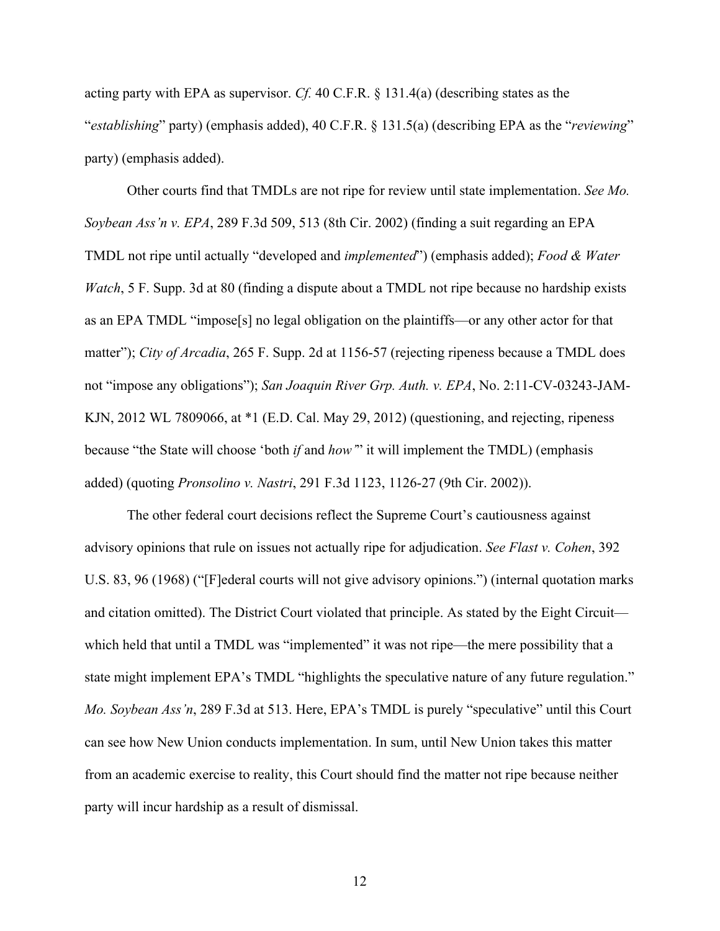acting party with EPA as supervisor. *Cf.* 40 C.F.R. § 131.4(a) (describing states as the "*establishing*" party) (emphasis added), 40 C.F.R. § 131.5(a) (describing EPA as the "*reviewing*" party) (emphasis added).

Other courts find that TMDLs are not ripe for review until state implementation. *See Mo. Soybean Ass'n v. EPA*, 289 F.3d 509, 513 (8th Cir. 2002) (finding a suit regarding an EPA TMDL not ripe until actually "developed and *implemented*") (emphasis added); *Food & Water Watch*, 5 F. Supp. 3d at 80 (finding a dispute about a TMDL not ripe because no hardship exists as an EPA TMDL "impose[s] no legal obligation on the plaintiffs—or any other actor for that matter"); *City of Arcadia*, 265 F. Supp. 2d at 1156-57 (rejecting ripeness because a TMDL does not "impose any obligations"); *San Joaquin River Grp. Auth. v. EPA*, No. 2:11-CV-03243-JAM-KJN, 2012 WL 7809066, at \*1 (E.D. Cal. May 29, 2012) (questioning, and rejecting, ripeness because "the State will choose 'both *if* and *how'*" it will implement the TMDL) (emphasis added) (quoting *Pronsolino v. Nastri*, 291 F.3d 1123, 1126-27 (9th Cir. 2002)).

The other federal court decisions reflect the Supreme Court's cautiousness against advisory opinions that rule on issues not actually ripe for adjudication. *See Flast v. Cohen*, 392 U.S. 83, 96 (1968) ("[F]ederal courts will not give advisory opinions.") (internal quotation marks and citation omitted). The District Court violated that principle. As stated by the Eight Circuit which held that until a TMDL was "implemented" it was not ripe—the mere possibility that a state might implement EPA's TMDL "highlights the speculative nature of any future regulation." *Mo. Soybean Ass'n*, 289 F.3d at 513. Here, EPA's TMDL is purely "speculative" until this Court can see how New Union conducts implementation. In sum, until New Union takes this matter from an academic exercise to reality, this Court should find the matter not ripe because neither party will incur hardship as a result of dismissal.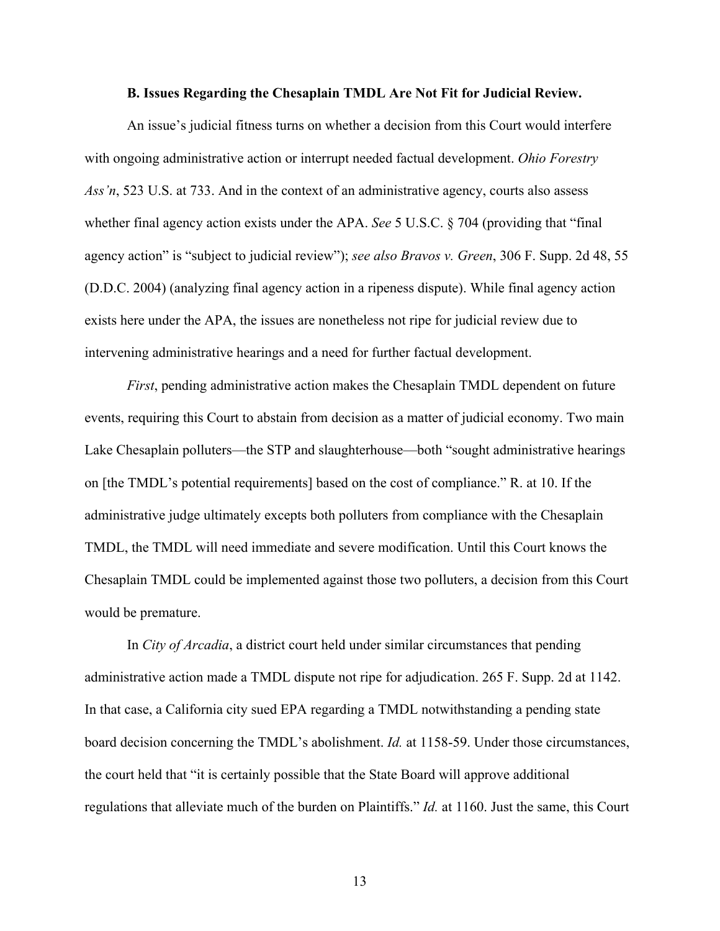#### **B. Issues Regarding the Chesaplain TMDL Are Not Fit for Judicial Review.**

An issue's judicial fitness turns on whether a decision from this Court would interfere with ongoing administrative action or interrupt needed factual development. *Ohio Forestry Ass'n*, 523 U.S. at 733. And in the context of an administrative agency, courts also assess whether final agency action exists under the APA. *See* 5 U.S.C. § 704 (providing that "final agency action" is "subject to judicial review"); *see also Bravos v. Green*, 306 F. Supp. 2d 48, 55 (D.D.C. 2004) (analyzing final agency action in a ripeness dispute). While final agency action exists here under the APA, the issues are nonetheless not ripe for judicial review due to intervening administrative hearings and a need for further factual development.

*First*, pending administrative action makes the Chesaplain TMDL dependent on future events, requiring this Court to abstain from decision as a matter of judicial economy. Two main Lake Chesaplain polluters—the STP and slaughterhouse—both "sought administrative hearings on [the TMDL's potential requirements] based on the cost of compliance." R. at 10. If the administrative judge ultimately excepts both polluters from compliance with the Chesaplain TMDL, the TMDL will need immediate and severe modification. Until this Court knows the Chesaplain TMDL could be implemented against those two polluters, a decision from this Court would be premature.

In *City of Arcadia*, a district court held under similar circumstances that pending administrative action made a TMDL dispute not ripe for adjudication. 265 F. Supp. 2d at 1142. In that case, a California city sued EPA regarding a TMDL notwithstanding a pending state board decision concerning the TMDL's abolishment. *Id.* at 1158-59. Under those circumstances, the court held that "it is certainly possible that the State Board will approve additional regulations that alleviate much of the burden on Plaintiffs." *Id.* at 1160. Just the same, this Court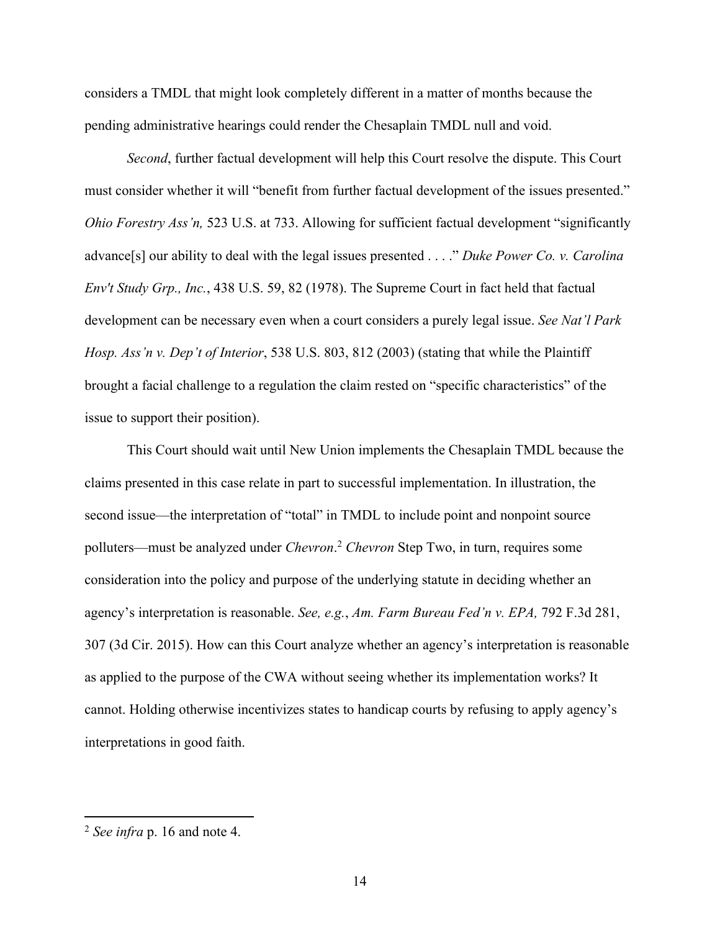considers a TMDL that might look completely different in a matter of months because the pending administrative hearings could render the Chesaplain TMDL null and void.

*Second*, further factual development will help this Court resolve the dispute. This Court must consider whether it will "benefit from further factual development of the issues presented." *Ohio Forestry Ass'n,* 523 U.S. at 733. Allowing for sufficient factual development "significantly advance[s] our ability to deal with the legal issues presented . . . ." *Duke Power Co. v. Carolina Env't Study Grp., Inc.*, 438 U.S. 59, 82 (1978). The Supreme Court in fact held that factual development can be necessary even when a court considers a purely legal issue. *See Nat'l Park Hosp. Ass'n v. Dep't of Interior*, 538 U.S. 803, 812 (2003) (stating that while the Plaintiff brought a facial challenge to a regulation the claim rested on "specific characteristics" of the issue to support their position).

This Court should wait until New Union implements the Chesaplain TMDL because the claims presented in this case relate in part to successful implementation. In illustration, the second issue—the interpretation of "total" in TMDL to include point and nonpoint source polluters—must be analyzed under *Chevron*. <sup>2</sup> *Chevron* Step Two, in turn, requires some consideration into the policy and purpose of the underlying statute in deciding whether an agency's interpretation is reasonable. *See, e.g.*, *Am. Farm Bureau Fed'n v. EPA,* 792 F.3d 281, 307 (3d Cir. 2015). How can this Court analyze whether an agency's interpretation is reasonable as applied to the purpose of the CWA without seeing whether its implementation works? It cannot. Holding otherwise incentivizes states to handicap courts by refusing to apply agency's interpretations in good faith.

<sup>2</sup> *See infra* p. 16 and note 4.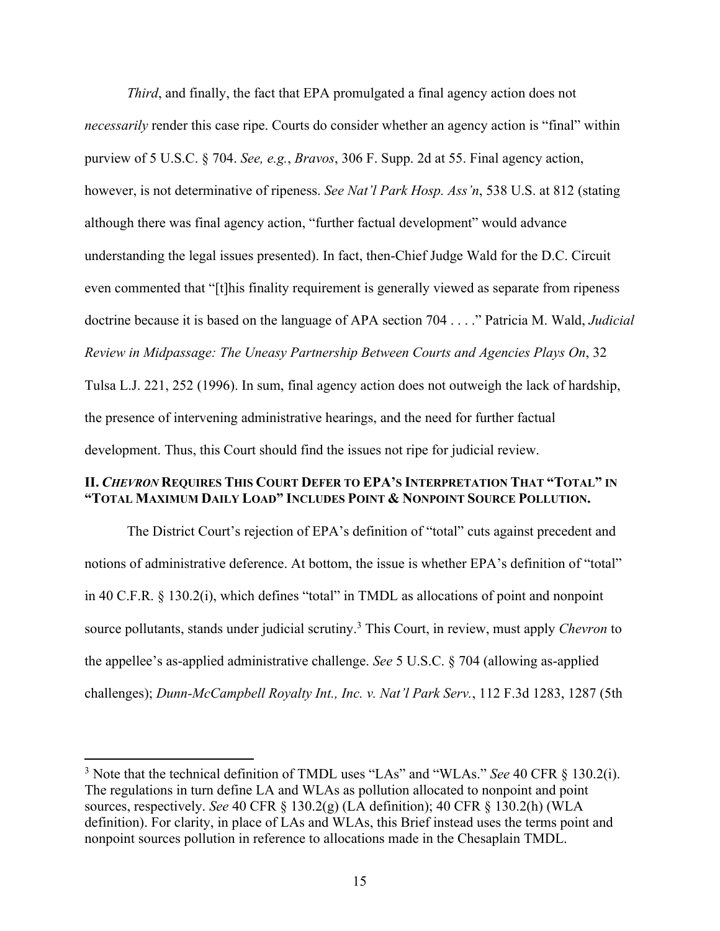*Third*, and finally, the fact that EPA promulgated a final agency action does not *necessarily* render this case ripe. Courts do consider whether an agency action is "final" within purview of 5 U.S.C. § 704. *See, e.g.*, *Bravos*, 306 F. Supp. 2d at 55. Final agency action, however, is not determinative of ripeness. *See Nat'l Park Hosp. Ass'n*, 538 U.S. at 812 (stating although there was final agency action, "further factual development" would advance understanding the legal issues presented). In fact, then-Chief Judge Wald for the D.C. Circuit even commented that "[t]his finality requirement is generally viewed as separate from ripeness doctrine because it is based on the language of APA section 704 . . . ." Patricia M. Wald, *Judicial Review in Midpassage: The Uneasy Partnership Between Courts and Agencies Plays On*, 32 Tulsa L.J. 221, 252 (1996). In sum, final agency action does not outweigh the lack of hardship, the presence of intervening administrative hearings, and the need for further factual

development. Thus, this Court should find the issues not ripe for judicial review.

### **II.** *CHEVRON* **REQUIRES THIS COURT DEFER TO EPA'S INTERPRETATION THAT "TOTAL" IN "TOTAL MAXIMUM DAILY LOAD" INCLUDES POINT & NONPOINT SOURCE POLLUTION.**

The District Court's rejection of EPA's definition of "total" cuts against precedent and notions of administrative deference. At bottom, the issue is whether EPA's definition of "total" in 40 C.F.R. § 130.2(i), which defines "total" in TMDL as allocations of point and nonpoint source pollutants, stands under judicial scrutiny. <sup>3</sup> This Court, in review, must apply *Chevron* to the appellee's as-applied administrative challenge. *See* 5 U.S.C. § 704 (allowing as-applied challenges); *Dunn-McCampbell Royalty Int., Inc. v. Nat'l Park Serv.*, 112 F.3d 1283, 1287 (5th

<sup>3</sup> Note that the technical definition of TMDL uses "LAs" and "WLAs." *See* 40 CFR § 130.2(i). The regulations in turn define LA and WLAs as pollution allocated to nonpoint and point sources, respectively. *See* 40 CFR § 130.2(g) (LA definition); 40 CFR § 130.2(h) (WLA definition). For clarity, in place of LAs and WLAs, this Brief instead uses the terms point and nonpoint sources pollution in reference to allocations made in the Chesaplain TMDL.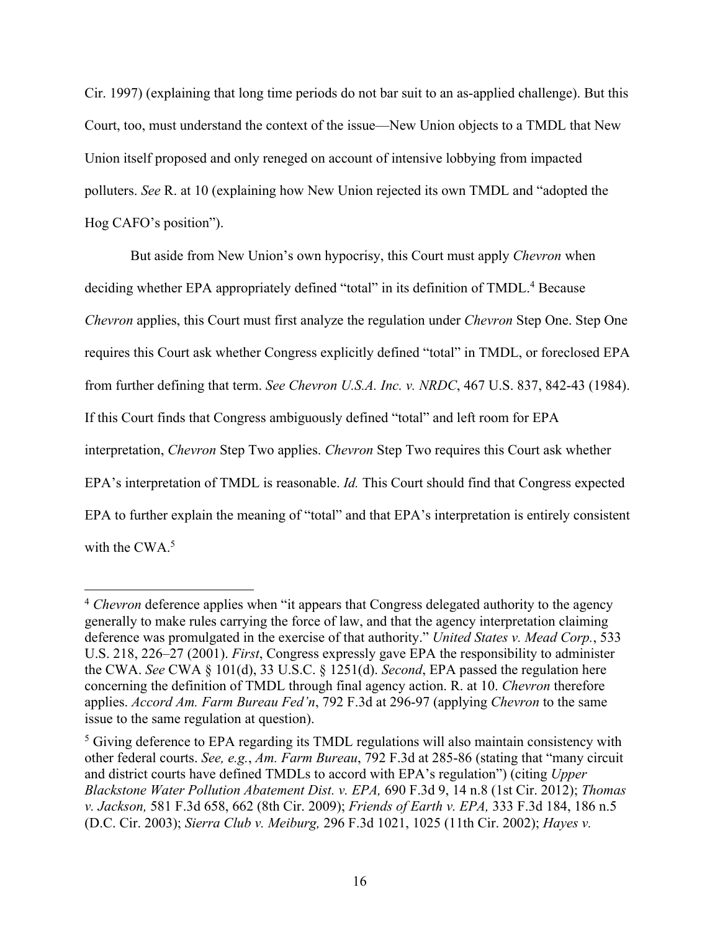Cir. 1997) (explaining that long time periods do not bar suit to an as-applied challenge). But this Court, too, must understand the context of the issue—New Union objects to a TMDL that New Union itself proposed and only reneged on account of intensive lobbying from impacted polluters. *See* R. at 10 (explaining how New Union rejected its own TMDL and "adopted the Hog CAFO's position").

But aside from New Union's own hypocrisy, this Court must apply *Chevron* when deciding whether EPA appropriately defined "total" in its definition of TMDL.<sup>4</sup> Because *Chevron* applies, this Court must first analyze the regulation under *Chevron* Step One. Step One requires this Court ask whether Congress explicitly defined "total" in TMDL, or foreclosed EPA from further defining that term. *See Chevron U.S.A. Inc. v. NRDC*, 467 U.S. 837, 842-43 (1984). If this Court finds that Congress ambiguously defined "total" and left room for EPA interpretation, *Chevron* Step Two applies. *Chevron* Step Two requires this Court ask whether EPA's interpretation of TMDL is reasonable. *Id.* This Court should find that Congress expected EPA to further explain the meaning of "total" and that EPA's interpretation is entirely consistent with the CWA.<sup>5</sup>

<sup>&</sup>lt;sup>4</sup> *Chevron* deference applies when "it appears that Congress delegated authority to the agency generally to make rules carrying the force of law, and that the agency interpretation claiming deference was promulgated in the exercise of that authority." *United States v. Mead Corp.*, 533 U.S. 218, 226–27 (2001). *First*, Congress expressly gave EPA the responsibility to administer the CWA. *See* CWA § 101(d), 33 U.S.C. § 1251(d). *Second*, EPA passed the regulation here concerning the definition of TMDL through final agency action. R. at 10. *Chevron* therefore applies. *Accord Am. Farm Bureau Fed'n*, 792 F.3d at 296-97 (applying *Chevron* to the same issue to the same regulation at question).

<sup>&</sup>lt;sup>5</sup> Giving deference to EPA regarding its TMDL regulations will also maintain consistency with other federal courts. *See, e.g.*, *Am. Farm Bureau*, 792 F.3d at 285-86 (stating that "many circuit and district courts have defined TMDLs to accord with EPA's regulation") (citing *Upper Blackstone Water Pollution Abatement Dist. v. EPA,* 690 F.3d 9, 14 n.8 (1st Cir. 2012); *Thomas v. Jackson,* 581 F.3d 658, 662 (8th Cir. 2009); *Friends of Earth v. EPA,* 333 F.3d 184, 186 n.5 (D.C. Cir. 2003); *Sierra Club v. Meiburg,* 296 F.3d 1021, 1025 (11th Cir. 2002); *Hayes v.*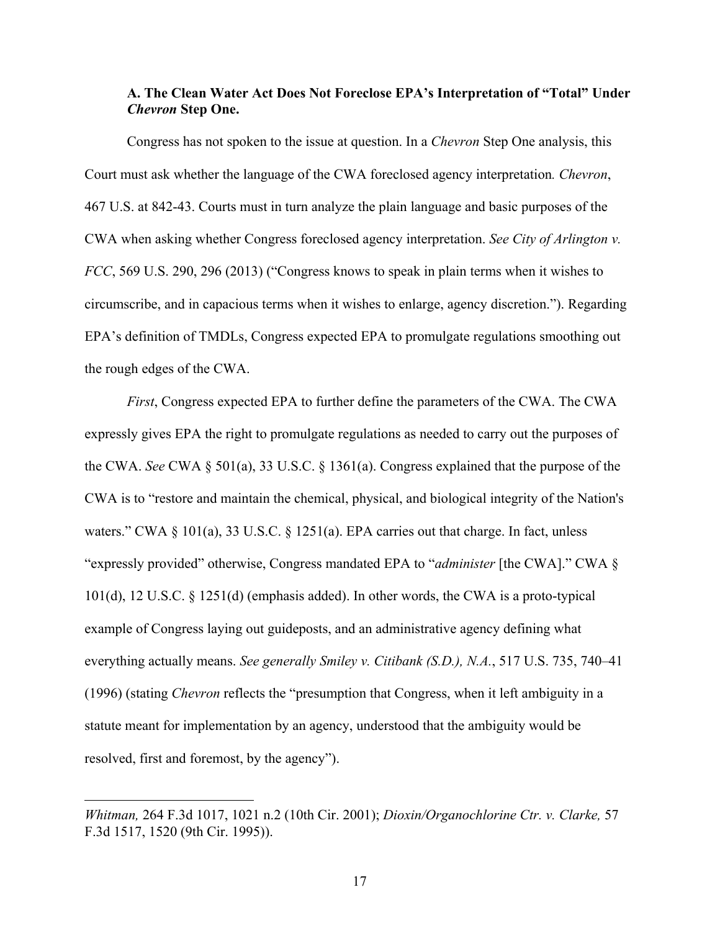### **A. The Clean Water Act Does Not Foreclose EPA's Interpretation of "Total" Under**  *Chevron* **Step One.**

Congress has not spoken to the issue at question. In a *Chevron* Step One analysis, this Court must ask whether the language of the CWA foreclosed agency interpretation*. Chevron*, 467 U.S. at 842-43. Courts must in turn analyze the plain language and basic purposes of the CWA when asking whether Congress foreclosed agency interpretation. *See City of Arlington v. FCC*, 569 U.S. 290, 296 (2013) ("Congress knows to speak in plain terms when it wishes to circumscribe, and in capacious terms when it wishes to enlarge, agency discretion."). Regarding EPA's definition of TMDLs, Congress expected EPA to promulgate regulations smoothing out the rough edges of the CWA.

*First*, Congress expected EPA to further define the parameters of the CWA. The CWA expressly gives EPA the right to promulgate regulations as needed to carry out the purposes of the CWA. *See* CWA § 501(a), 33 U.S.C. § 1361(a). Congress explained that the purpose of the CWA is to "restore and maintain the chemical, physical, and biological integrity of the Nation's waters." CWA § 101(a), 33 U.S.C. § 1251(a). EPA carries out that charge. In fact, unless "expressly provided" otherwise, Congress mandated EPA to "*administer* [the CWA]." CWA § 101(d), 12 U.S.C. § 1251(d) (emphasis added). In other words, the CWA is a proto-typical example of Congress laying out guideposts, and an administrative agency defining what everything actually means. *See generally Smiley v. Citibank (S.D.), N.A.*, 517 U.S. 735, 740–41 (1996) (stating *Chevron* reflects the "presumption that Congress, when it left ambiguity in a statute meant for implementation by an agency, understood that the ambiguity would be resolved, first and foremost, by the agency").

*Whitman,* 264 F.3d 1017, 1021 n.2 (10th Cir. 2001); *Dioxin/Organochlorine Ctr. v. Clarke,* 57 F.3d 1517, 1520 (9th Cir. 1995)).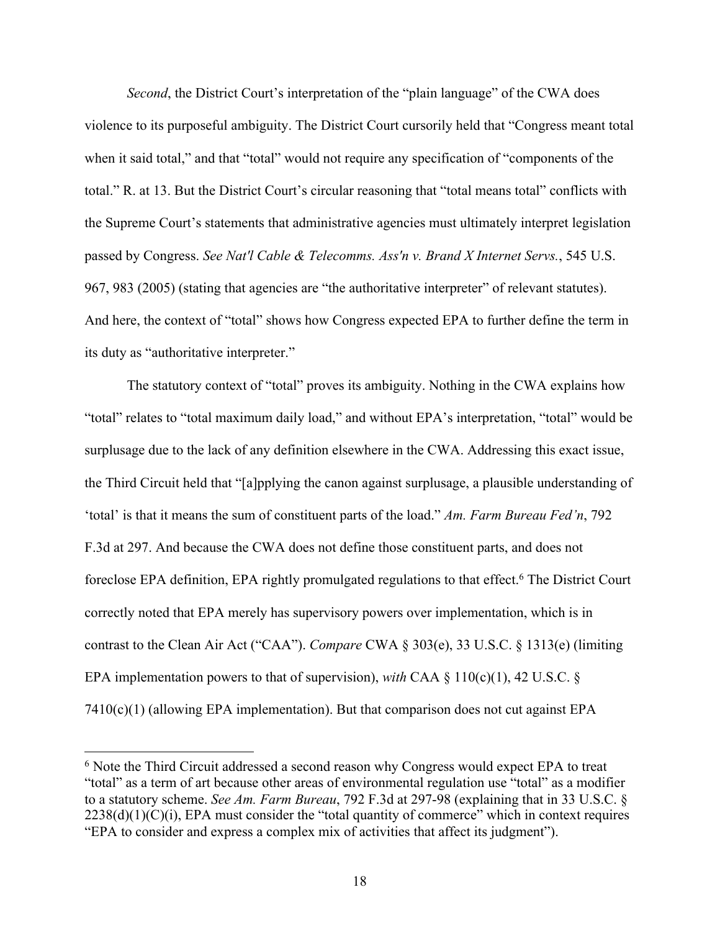*Second*, the District Court's interpretation of the "plain language" of the CWA does violence to its purposeful ambiguity. The District Court cursorily held that "Congress meant total when it said total," and that "total" would not require any specification of "components of the total." R. at 13. But the District Court's circular reasoning that "total means total" conflicts with the Supreme Court's statements that administrative agencies must ultimately interpret legislation passed by Congress. *See Nat'l Cable & Telecomms. Ass'n v. Brand X Internet Servs.*, 545 U.S. 967, 983 (2005) (stating that agencies are "the authoritative interpreter" of relevant statutes). And here, the context of "total" shows how Congress expected EPA to further define the term in its duty as "authoritative interpreter."

The statutory context of "total" proves its ambiguity. Nothing in the CWA explains how "total" relates to "total maximum daily load," and without EPA's interpretation, "total" would be surplusage due to the lack of any definition elsewhere in the CWA. Addressing this exact issue, the Third Circuit held that "[a]pplying the canon against surplusage, a plausible understanding of 'total' is that it means the sum of constituent parts of the load." *Am. Farm Bureau Fed'n*, 792 F.3d at 297. And because the CWA does not define those constituent parts, and does not foreclose EPA definition, EPA rightly promulgated regulations to that effect.<sup>6</sup> The District Court correctly noted that EPA merely has supervisory powers over implementation, which is in contrast to the Clean Air Act ("CAA"). *Compare* CWA § 303(e), 33 U.S.C. § 1313(e) (limiting EPA implementation powers to that of supervision), *with* CAA § 110(c)(1), 42 U.S.C. §  $7410(c)(1)$  (allowing EPA implementation). But that comparison does not cut against EPA

<sup>&</sup>lt;sup>6</sup> Note the Third Circuit addressed a second reason why Congress would expect EPA to treat "total" as a term of art because other areas of environmental regulation use "total" as a modifier to a statutory scheme. *See Am. Farm Bureau*, 792 F.3d at 297-98 (explaining that in 33 U.S.C. §  $2238(d)(1)(C)(i)$ , EPA must consider the "total quantity of commerce" which in context requires "EPA to consider and express a complex mix of activities that affect its judgment").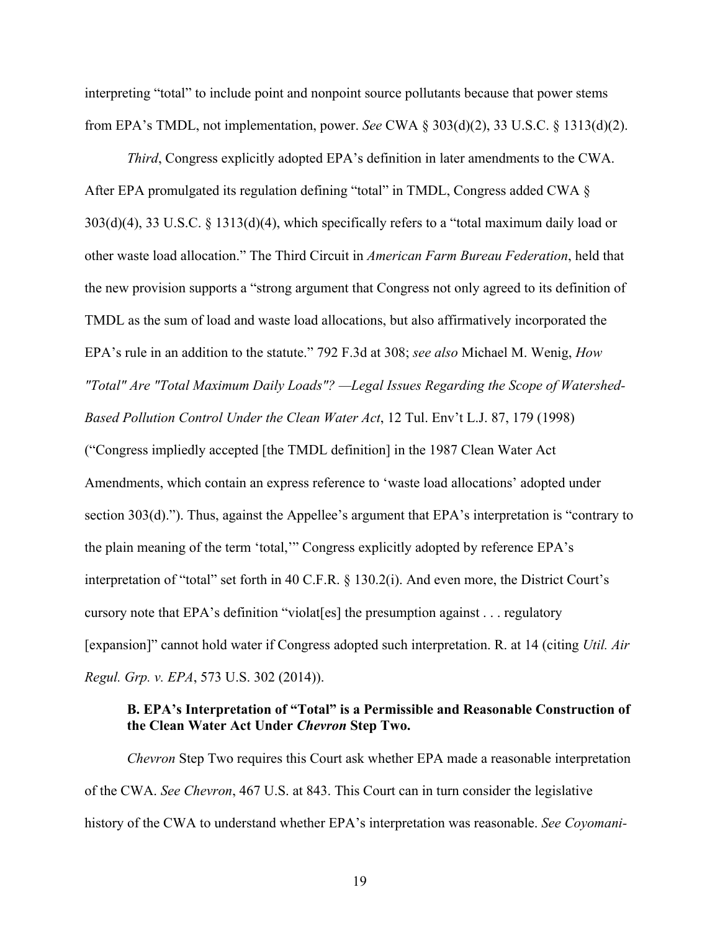interpreting "total" to include point and nonpoint source pollutants because that power stems from EPA's TMDL, not implementation, power. *See* CWA § 303(d)(2), 33 U.S.C. § 1313(d)(2).

*Third*, Congress explicitly adopted EPA's definition in later amendments to the CWA. After EPA promulgated its regulation defining "total" in TMDL, Congress added CWA § 303(d)(4), 33 U.S.C. § 1313(d)(4), which specifically refers to a "total maximum daily load or other waste load allocation." The Third Circuit in *American Farm Bureau Federation*, held that the new provision supports a "strong argument that Congress not only agreed to its definition of TMDL as the sum of load and waste load allocations, but also affirmatively incorporated the EPA's rule in an addition to the statute." 792 F.3d at 308; *see also* Michael M. Wenig, *How "Total" Are "Total Maximum Daily Loads"? —Legal Issues Regarding the Scope of Watershed-Based Pollution Control Under the Clean Water Act*, 12 Tul. Env't L.J. 87, 179 (1998)

("Congress impliedly accepted [the TMDL definition] in the 1987 Clean Water Act Amendments, which contain an express reference to 'waste load allocations' adopted under section 303(d)."). Thus, against the Appellee's argument that EPA's interpretation is "contrary to the plain meaning of the term 'total,'" Congress explicitly adopted by reference EPA's interpretation of "total" set forth in 40 C.F.R. § 130.2(i). And even more, the District Court's cursory note that EPA's definition "violat[es] the presumption against . . . regulatory [expansion]" cannot hold water if Congress adopted such interpretation. R. at 14 (citing *Util. Air Regul. Grp. v. EPA*, 573 U.S. 302 (2014)).

### **B. EPA's Interpretation of "Total" is a Permissible and Reasonable Construction of the Clean Water Act Under** *Chevron* **Step Two.**

*Chevron* Step Two requires this Court ask whether EPA made a reasonable interpretation of the CWA. *See Chevron*, 467 U.S. at 843. This Court can in turn consider the legislative history of the CWA to understand whether EPA's interpretation was reasonable. *See Coyomani-*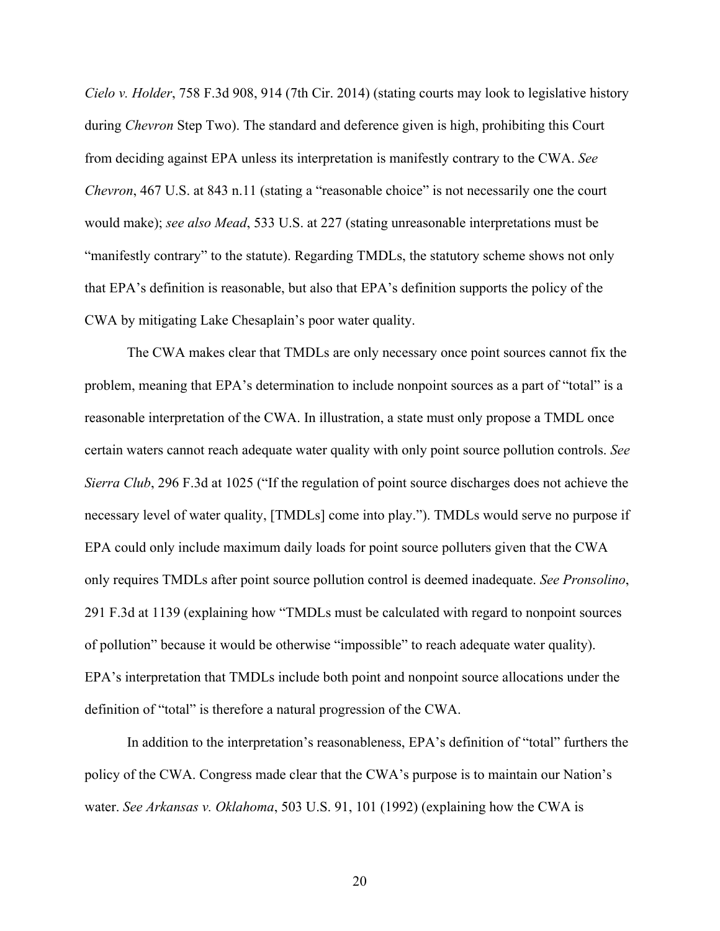*Cielo v. Holder*, 758 F.3d 908, 914 (7th Cir. 2014) (stating courts may look to legislative history during *Chevron* Step Two). The standard and deference given is high, prohibiting this Court from deciding against EPA unless its interpretation is manifestly contrary to the CWA. *See Chevron*, 467 U.S. at 843 n.11 (stating a "reasonable choice" is not necessarily one the court would make); *see also Mead*, 533 U.S. at 227 (stating unreasonable interpretations must be "manifestly contrary" to the statute). Regarding TMDLs, the statutory scheme shows not only that EPA's definition is reasonable, but also that EPA's definition supports the policy of the CWA by mitigating Lake Chesaplain's poor water quality.

The CWA makes clear that TMDLs are only necessary once point sources cannot fix the problem, meaning that EPA's determination to include nonpoint sources as a part of "total" is a reasonable interpretation of the CWA. In illustration, a state must only propose a TMDL once certain waters cannot reach adequate water quality with only point source pollution controls. *See Sierra Club*, 296 F.3d at 1025 ("If the regulation of point source discharges does not achieve the necessary level of water quality, [TMDLs] come into play."). TMDLs would serve no purpose if EPA could only include maximum daily loads for point source polluters given that the CWA only requires TMDLs after point source pollution control is deemed inadequate. *See Pronsolino*, 291 F.3d at 1139 (explaining how "TMDLs must be calculated with regard to nonpoint sources of pollution" because it would be otherwise "impossible" to reach adequate water quality). EPA's interpretation that TMDLs include both point and nonpoint source allocations under the definition of "total" is therefore a natural progression of the CWA.

In addition to the interpretation's reasonableness, EPA's definition of "total" furthers the policy of the CWA. Congress made clear that the CWA's purpose is to maintain our Nation's water. *See Arkansas v. Oklahoma*, 503 U.S. 91, 101 (1992) (explaining how the CWA is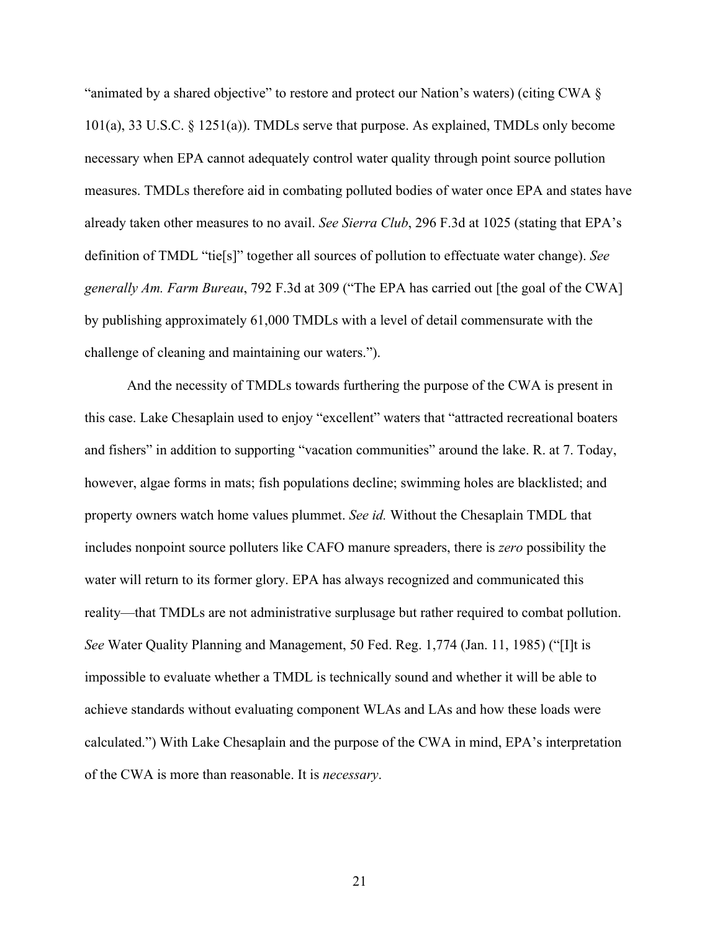"animated by a shared objective" to restore and protect our Nation's waters) (citing CWA § 101(a), 33 U.S.C. § 1251(a)). TMDLs serve that purpose. As explained, TMDLs only become necessary when EPA cannot adequately control water quality through point source pollution measures. TMDLs therefore aid in combating polluted bodies of water once EPA and states have already taken other measures to no avail. *See Sierra Club*, 296 F.3d at 1025 (stating that EPA's definition of TMDL "tie[s]" together all sources of pollution to effectuate water change). *See generally Am. Farm Bureau*, 792 F.3d at 309 ("The EPA has carried out [the goal of the CWA] by publishing approximately 61,000 TMDLs with a level of detail commensurate with the challenge of cleaning and maintaining our waters.").

And the necessity of TMDLs towards furthering the purpose of the CWA is present in this case. Lake Chesaplain used to enjoy "excellent" waters that "attracted recreational boaters and fishers" in addition to supporting "vacation communities" around the lake. R. at 7. Today, however, algae forms in mats; fish populations decline; swimming holes are blacklisted; and property owners watch home values plummet. *See id.* Without the Chesaplain TMDL that includes nonpoint source polluters like CAFO manure spreaders, there is *zero* possibility the water will return to its former glory. EPA has always recognized and communicated this reality—that TMDLs are not administrative surplusage but rather required to combat pollution. *See* Water Quality Planning and Management, 50 Fed. Reg. 1,774 (Jan. 11, 1985) ("[I]t is impossible to evaluate whether a TMDL is technically sound and whether it will be able to achieve standards without evaluating component WLAs and LAs and how these loads were calculated.") With Lake Chesaplain and the purpose of the CWA in mind, EPA's interpretation of the CWA is more than reasonable. It is *necessary*.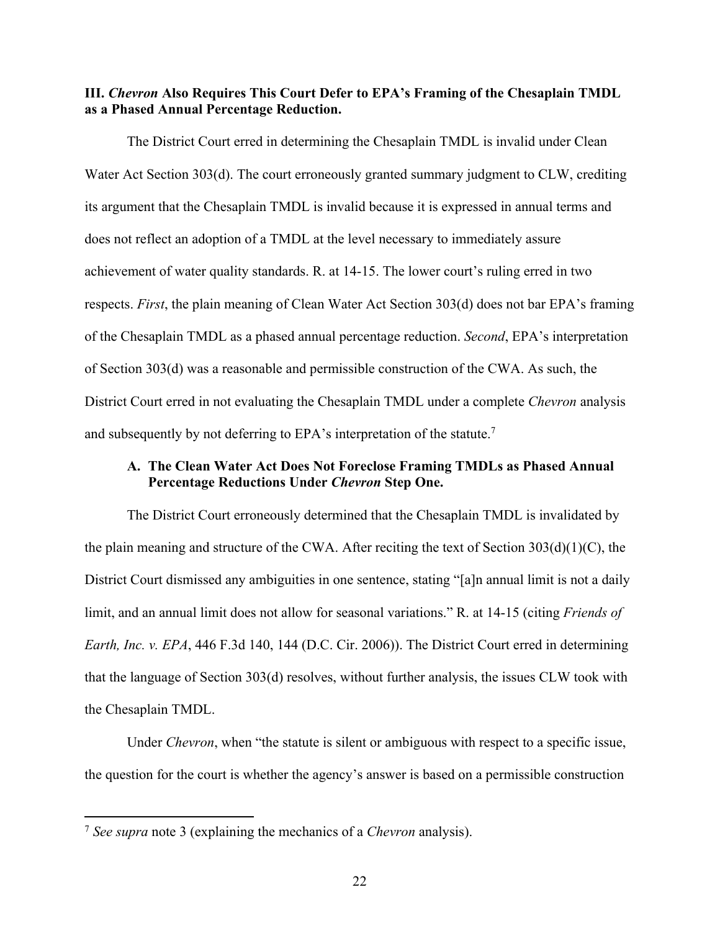### **III.** *Chevron* **Also Requires This Court Defer to EPA's Framing of the Chesaplain TMDL as a Phased Annual Percentage Reduction.**

The District Court erred in determining the Chesaplain TMDL is invalid under Clean Water Act Section 303(d). The court erroneously granted summary judgment to CLW, crediting its argument that the Chesaplain TMDL is invalid because it is expressed in annual terms and does not reflect an adoption of a TMDL at the level necessary to immediately assure achievement of water quality standards. R. at 14-15. The lower court's ruling erred in two respects. *First*, the plain meaning of Clean Water Act Section 303(d) does not bar EPA's framing of the Chesaplain TMDL as a phased annual percentage reduction. *Second*, EPA's interpretation of Section 303(d) was a reasonable and permissible construction of the CWA. As such, the District Court erred in not evaluating the Chesaplain TMDL under a complete *Chevron* analysis and subsequently by not deferring to EPA's interpretation of the statute.<sup>7</sup>

### **A. The Clean Water Act Does Not Foreclose Framing TMDLs as Phased Annual Percentage Reductions Under** *Chevron* **Step One.**

The District Court erroneously determined that the Chesaplain TMDL is invalidated by the plain meaning and structure of the CWA. After reciting the text of Section 303(d)(1)(C), the District Court dismissed any ambiguities in one sentence, stating "[a]n annual limit is not a daily limit, and an annual limit does not allow for seasonal variations." R. at 14-15 (citing *Friends of Earth, Inc. v. EPA*, 446 F.3d 140, 144 (D.C. Cir. 2006)). The District Court erred in determining that the language of Section 303(d) resolves, without further analysis, the issues CLW took with the Chesaplain TMDL.

Under *Chevron*, when "the statute is silent or ambiguous with respect to a specific issue, the question for the court is whether the agency's answer is based on a permissible construction

<sup>7</sup> *See supra* note 3 (explaining the mechanics of a *Chevron* analysis).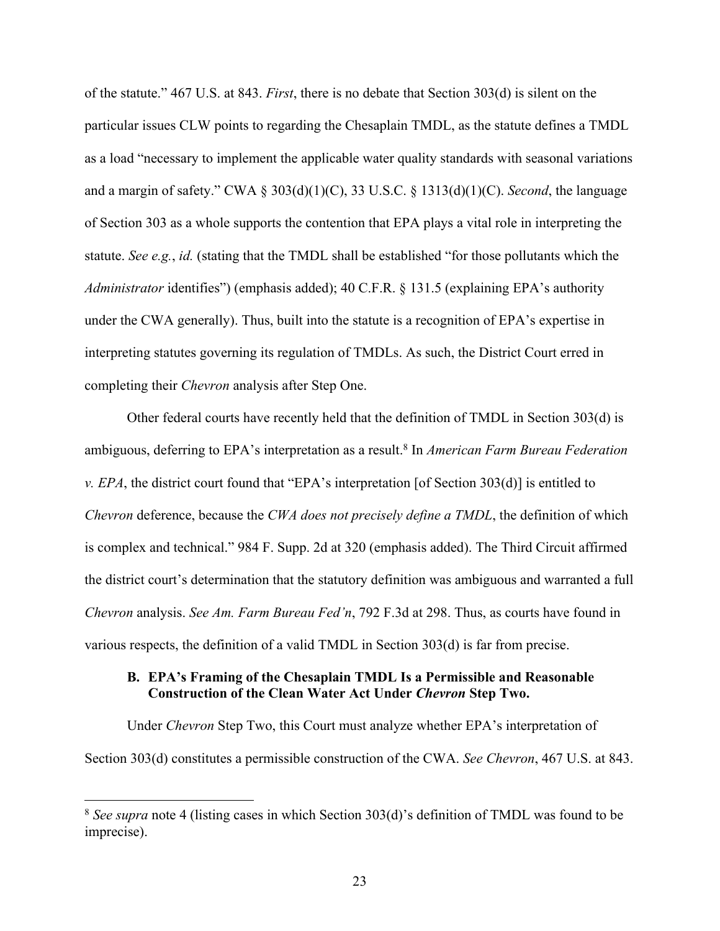of the statute." 467 U.S. at 843. *First*, there is no debate that Section 303(d) is silent on the particular issues CLW points to regarding the Chesaplain TMDL, as the statute defines a TMDL as a load "necessary to implement the applicable water quality standards with seasonal variations and a margin of safety." CWA § 303(d)(1)(C), 33 U.S.C. § 1313(d)(1)(C). *Second*, the language of Section 303 as a whole supports the contention that EPA plays a vital role in interpreting the statute. *See e.g.*, *id.* (stating that the TMDL shall be established "for those pollutants which the *Administrator* identifies") (emphasis added); 40 C.F.R. § 131.5 (explaining EPA's authority under the CWA generally). Thus, built into the statute is a recognition of EPA's expertise in interpreting statutes governing its regulation of TMDLs. As such, the District Court erred in completing their *Chevron* analysis after Step One.

Other federal courts have recently held that the definition of TMDL in Section 303(d) is ambiguous, deferring to EPA's interpretation as a result.8 In *American Farm Bureau Federation v. EPA*, the district court found that "EPA's interpretation [of Section 303(d)] is entitled to *Chevron* deference, because the *CWA does not precisely define a TMDL*, the definition of which is complex and technical." 984 F. Supp. 2d at 320 (emphasis added). The Third Circuit affirmed the district court's determination that the statutory definition was ambiguous and warranted a full *Chevron* analysis. *See Am. Farm Bureau Fed'n*, 792 F.3d at 298. Thus, as courts have found in various respects, the definition of a valid TMDL in Section 303(d) is far from precise.

#### **B. EPA's Framing of the Chesaplain TMDL Is a Permissible and Reasonable Construction of the Clean Water Act Under** *Chevron* **Step Two.**

Under *Chevron* Step Two, this Court must analyze whether EPA's interpretation of Section 303(d) constitutes a permissible construction of the CWA. *See Chevron*, 467 U.S. at 843.

<sup>8</sup> *See supra* note 4 (listing cases in which Section 303(d)'s definition of TMDL was found to be imprecise).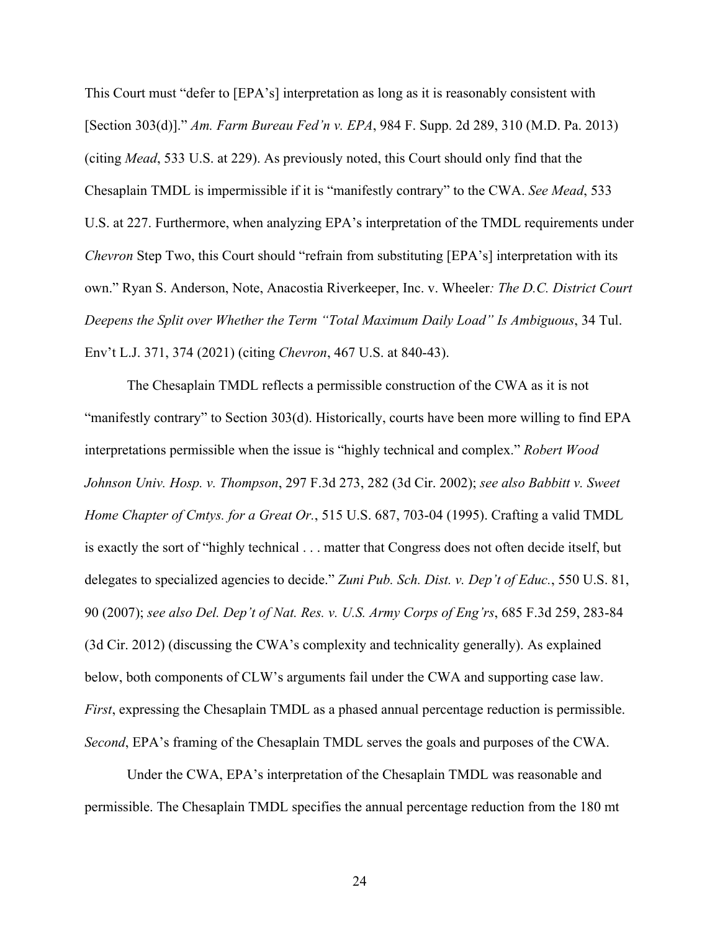This Court must "defer to [EPA's] interpretation as long as it is reasonably consistent with [Section 303(d)]." *Am. Farm Bureau Fed'n v. EPA*, 984 F. Supp. 2d 289, 310 (M.D. Pa. 2013) (citing *Mead*, 533 U.S. at 229). As previously noted, this Court should only find that the Chesaplain TMDL is impermissible if it is "manifestly contrary" to the CWA. *See Mead*, 533 U.S. at 227. Furthermore, when analyzing EPA's interpretation of the TMDL requirements under *Chevron* Step Two, this Court should "refrain from substituting [EPA's] interpretation with its own." Ryan S. Anderson, Note, Anacostia Riverkeeper, Inc. v. Wheeler*: The D.C. District Court Deepens the Split over Whether the Term "Total Maximum Daily Load" Is Ambiguous*, 34 Tul. Env't L.J. 371, 374 (2021) (citing *Chevron*, 467 U.S. at 840-43).

The Chesaplain TMDL reflects a permissible construction of the CWA as it is not "manifestly contrary" to Section 303(d). Historically, courts have been more willing to find EPA interpretations permissible when the issue is "highly technical and complex." *Robert Wood Johnson Univ. Hosp. v. Thompson*, 297 F.3d 273, 282 (3d Cir. 2002); *see also Babbitt v. Sweet Home Chapter of Cmtys. for a Great Or.*, 515 U.S. 687, 703-04 (1995). Crafting a valid TMDL is exactly the sort of "highly technical . . . matter that Congress does not often decide itself, but delegates to specialized agencies to decide." *Zuni Pub. Sch. Dist. v. Dep't of Educ.*, 550 U.S. 81, 90 (2007); *see also Del. Dep't of Nat. Res. v. U.S. Army Corps of Eng'rs*, 685 F.3d 259, 283-84 (3d Cir. 2012) (discussing the CWA's complexity and technicality generally). As explained below, both components of CLW's arguments fail under the CWA and supporting case law. *First*, expressing the Chesaplain TMDL as a phased annual percentage reduction is permissible. *Second*, EPA's framing of the Chesaplain TMDL serves the goals and purposes of the CWA.

Under the CWA, EPA's interpretation of the Chesaplain TMDL was reasonable and permissible. The Chesaplain TMDL specifies the annual percentage reduction from the 180 mt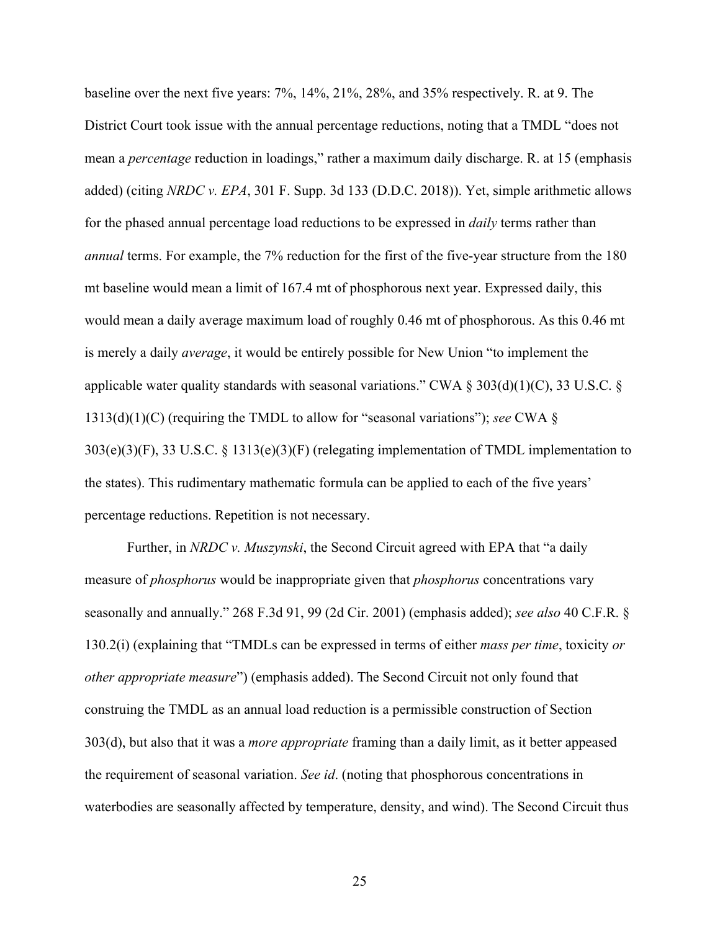baseline over the next five years: 7%, 14%, 21%, 28%, and 35% respectively. R. at 9. The District Court took issue with the annual percentage reductions, noting that a TMDL "does not mean a *percentage* reduction in loadings," rather a maximum daily discharge. R. at 15 (emphasis added) (citing *NRDC v. EPA*, 301 F. Supp. 3d 133 (D.D.C. 2018)). Yet, simple arithmetic allows for the phased annual percentage load reductions to be expressed in *daily* terms rather than *annual* terms. For example, the 7% reduction for the first of the five-year structure from the 180 mt baseline would mean a limit of 167.4 mt of phosphorous next year. Expressed daily, this would mean a daily average maximum load of roughly 0.46 mt of phosphorous. As this 0.46 mt is merely a daily *average*, it would be entirely possible for New Union "to implement the applicable water quality standards with seasonal variations." CWA §  $303(d)(1)(C)$ , 33 U.S.C. § 1313(d)(1)(C) (requiring the TMDL to allow for "seasonal variations"); *see* CWA § 303(e)(3)(F), 33 U.S.C. § 1313(e)(3)(F) (relegating implementation of TMDL implementation to the states). This rudimentary mathematic formula can be applied to each of the five years' percentage reductions. Repetition is not necessary.

Further, in *NRDC v. Muszynski*, the Second Circuit agreed with EPA that "a daily measure of *phosphorus* would be inappropriate given that *phosphorus* concentrations vary seasonally and annually." 268 F.3d 91, 99 (2d Cir. 2001) (emphasis added); *see also* 40 C.F.R. § 130.2(i) (explaining that "TMDLs can be expressed in terms of either *mass per time*, toxicity *or other appropriate measure*") (emphasis added). The Second Circuit not only found that construing the TMDL as an annual load reduction is a permissible construction of Section 303(d), but also that it was a *more appropriate* framing than a daily limit, as it better appeased the requirement of seasonal variation. *See id*. (noting that phosphorous concentrations in waterbodies are seasonally affected by temperature, density, and wind). The Second Circuit thus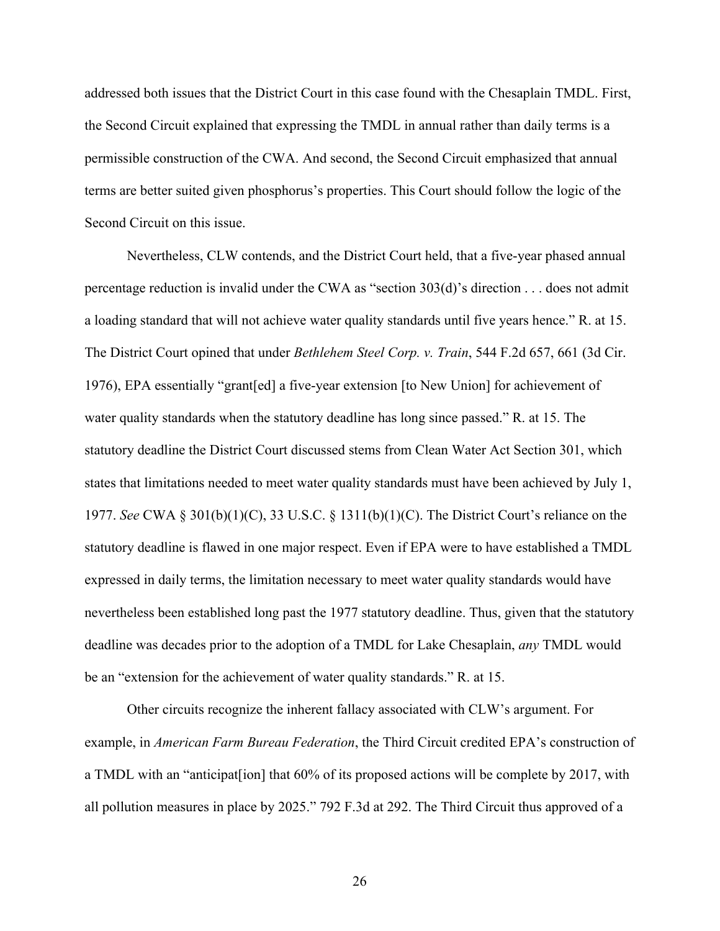addressed both issues that the District Court in this case found with the Chesaplain TMDL. First, the Second Circuit explained that expressing the TMDL in annual rather than daily terms is a permissible construction of the CWA. And second, the Second Circuit emphasized that annual terms are better suited given phosphorus's properties. This Court should follow the logic of the Second Circuit on this issue.

Nevertheless, CLW contends, and the District Court held, that a five-year phased annual percentage reduction is invalid under the CWA as "section 303(d)'s direction . . . does not admit a loading standard that will not achieve water quality standards until five years hence." R. at 15. The District Court opined that under *Bethlehem Steel Corp. v. Train*, 544 F.2d 657, 661 (3d Cir. 1976), EPA essentially "grant[ed] a five-year extension [to New Union] for achievement of water quality standards when the statutory deadline has long since passed." R. at 15. The statutory deadline the District Court discussed stems from Clean Water Act Section 301, which states that limitations needed to meet water quality standards must have been achieved by July 1, 1977. *See* CWA § 301(b)(1)(C), 33 U.S.C. § 1311(b)(1)(C). The District Court's reliance on the statutory deadline is flawed in one major respect. Even if EPA were to have established a TMDL expressed in daily terms, the limitation necessary to meet water quality standards would have nevertheless been established long past the 1977 statutory deadline. Thus, given that the statutory deadline was decades prior to the adoption of a TMDL for Lake Chesaplain, *any* TMDL would be an "extension for the achievement of water quality standards." R. at 15.

Other circuits recognize the inherent fallacy associated with CLW's argument. For example, in *American Farm Bureau Federation*, the Third Circuit credited EPA's construction of a TMDL with an "anticipat[ion] that 60% of its proposed actions will be complete by 2017, with all pollution measures in place by 2025." 792 F.3d at 292. The Third Circuit thus approved of a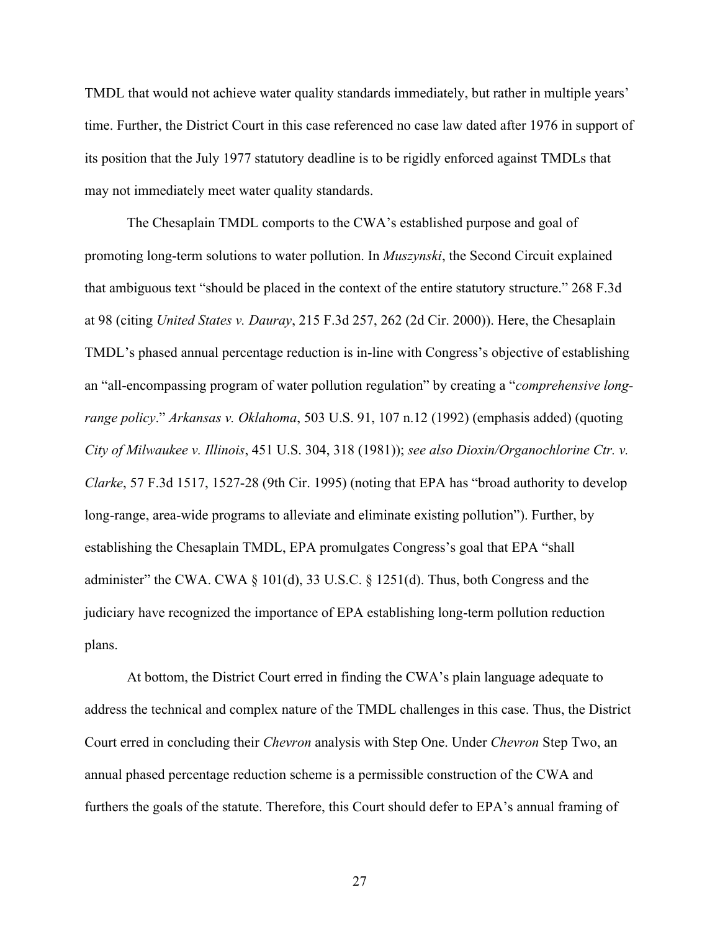TMDL that would not achieve water quality standards immediately, but rather in multiple years' time. Further, the District Court in this case referenced no case law dated after 1976 in support of its position that the July 1977 statutory deadline is to be rigidly enforced against TMDLs that may not immediately meet water quality standards.

The Chesaplain TMDL comports to the CWA's established purpose and goal of promoting long-term solutions to water pollution. In *Muszynski*, the Second Circuit explained that ambiguous text "should be placed in the context of the entire statutory structure." 268 F.3d at 98 (citing *United States v. Dauray*, 215 F.3d 257, 262 (2d Cir. 2000)). Here, the Chesaplain TMDL's phased annual percentage reduction is in-line with Congress's objective of establishing an "all-encompassing program of water pollution regulation" by creating a "*comprehensive longrange policy*." *Arkansas v. Oklahoma*, 503 U.S. 91, 107 n.12 (1992) (emphasis added) (quoting *City of Milwaukee v. Illinois*, 451 U.S. 304, 318 (1981)); *see also Dioxin/Organochlorine Ctr. v. Clarke*, 57 F.3d 1517, 1527-28 (9th Cir. 1995) (noting that EPA has "broad authority to develop long-range, area-wide programs to alleviate and eliminate existing pollution"). Further, by establishing the Chesaplain TMDL, EPA promulgates Congress's goal that EPA "shall administer" the CWA. CWA  $\S$  101(d), 33 U.S.C.  $\S$  1251(d). Thus, both Congress and the judiciary have recognized the importance of EPA establishing long-term pollution reduction plans.

At bottom, the District Court erred in finding the CWA's plain language adequate to address the technical and complex nature of the TMDL challenges in this case. Thus, the District Court erred in concluding their *Chevron* analysis with Step One. Under *Chevron* Step Two, an annual phased percentage reduction scheme is a permissible construction of the CWA and furthers the goals of the statute. Therefore, this Court should defer to EPA's annual framing of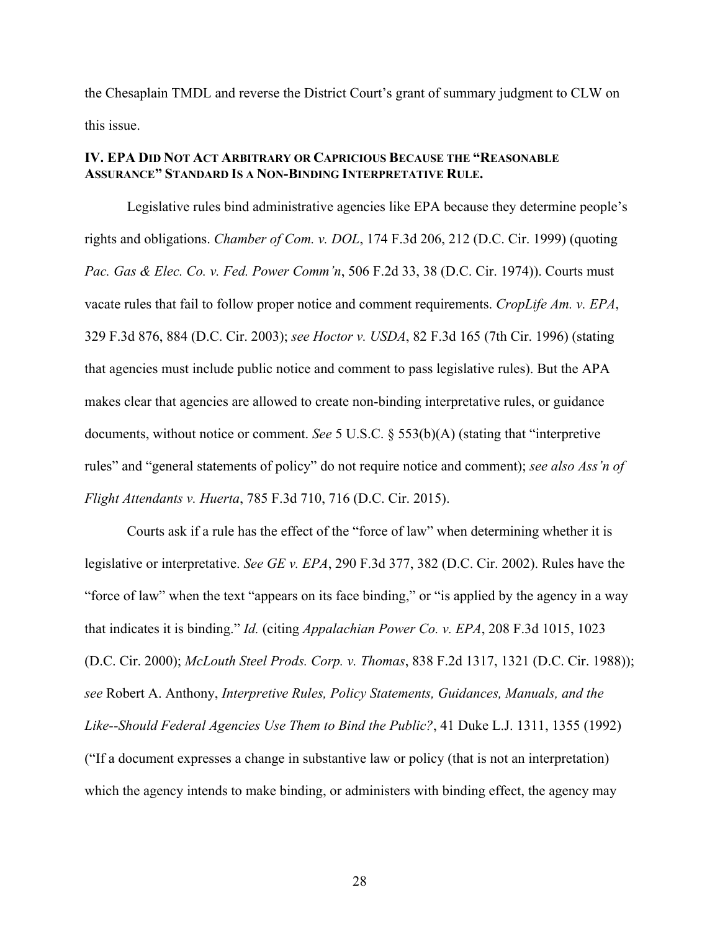the Chesaplain TMDL and reverse the District Court's grant of summary judgment to CLW on this issue.

### **IV. EPA DID NOT ACT ARBITRARY OR CAPRICIOUS BECAUSE THE "REASONABLE ASSURANCE" STANDARD IS A NON-BINDING INTERPRETATIVE RULE.**

Legislative rules bind administrative agencies like EPA because they determine people's rights and obligations. *Chamber of Com. v. DOL*, 174 F.3d 206, 212 (D.C. Cir. 1999) (quoting *Pac. Gas & Elec. Co. v. Fed. Power Comm'n*, 506 F.2d 33, 38 (D.C. Cir. 1974)). Courts must vacate rules that fail to follow proper notice and comment requirements. *CropLife Am. v. EPA*, 329 F.3d 876, 884 (D.C. Cir. 2003); *see Hoctor v. USDA*, 82 F.3d 165 (7th Cir. 1996) (stating that agencies must include public notice and comment to pass legislative rules). But the APA makes clear that agencies are allowed to create non-binding interpretative rules, or guidance documents, without notice or comment. *See* 5 U.S.C. § 553(b)(A) (stating that "interpretive rules" and "general statements of policy" do not require notice and comment); *see also Ass'n of Flight Attendants v. Huerta*, 785 F.3d 710, 716 (D.C. Cir. 2015).

Courts ask if a rule has the effect of the "force of law" when determining whether it is legislative or interpretative. *See GE v. EPA*, 290 F.3d 377, 382 (D.C. Cir. 2002). Rules have the "force of law" when the text "appears on its face binding," or "is applied by the agency in a way that indicates it is binding." *Id.* (citing *Appalachian Power Co. v. EPA*, 208 F.3d 1015, 1023 (D.C. Cir. 2000); *McLouth Steel Prods. Corp. v. Thomas*, 838 F.2d 1317, 1321 (D.C. Cir. 1988)); *see* Robert A. Anthony, *Interpretive Rules, Policy Statements, Guidances, Manuals, and the Like--Should Federal Agencies Use Them to Bind the Public?*, 41 Duke L.J. 1311, 1355 (1992) ("If a document expresses a change in substantive law or policy (that is not an interpretation) which the agency intends to make binding, or administers with binding effect, the agency may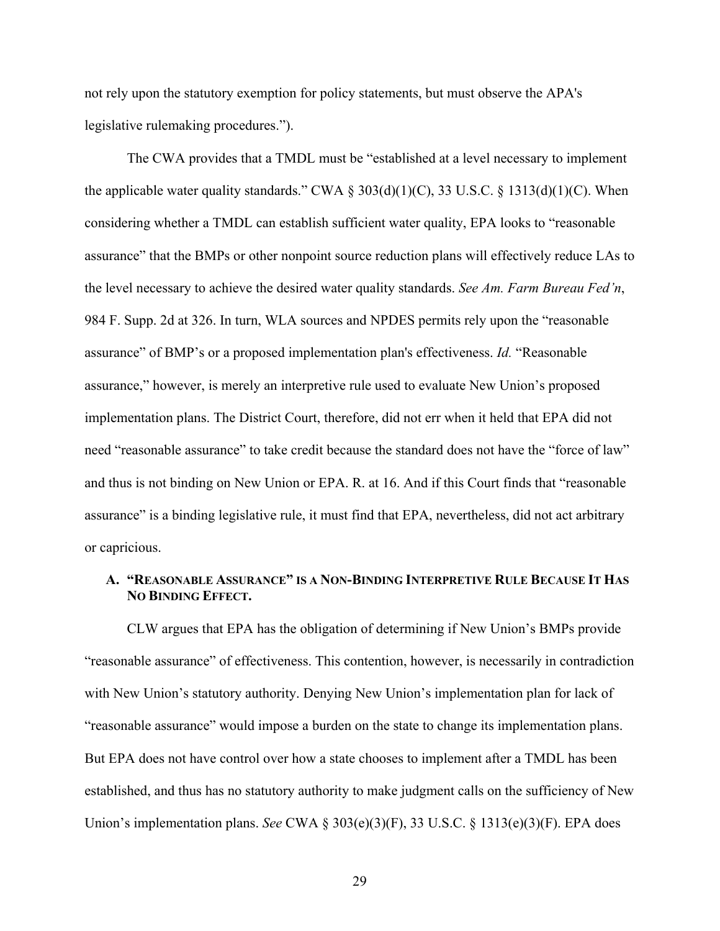not rely upon the statutory exemption for policy statements, but must observe the APA's legislative rulemaking procedures.").

The CWA provides that a TMDL must be "established at a level necessary to implement the applicable water quality standards." CWA  $\S 303(d)(1)(C)$ , 33 U.S.C.  $\S 1313(d)(1)(C)$ . When considering whether a TMDL can establish sufficient water quality, EPA looks to "reasonable assurance" that the BMPs or other nonpoint source reduction plans will effectively reduce LAs to the level necessary to achieve the desired water quality standards. *See Am. Farm Bureau Fed'n*, 984 F. Supp. 2d at 326. In turn, WLA sources and NPDES permits rely upon the "reasonable assurance" of BMP's or a proposed implementation plan's effectiveness. *Id.* "Reasonable assurance," however, is merely an interpretive rule used to evaluate New Union's proposed implementation plans. The District Court, therefore, did not err when it held that EPA did not need "reasonable assurance" to take credit because the standard does not have the "force of law" and thus is not binding on New Union or EPA. R. at 16. And if this Court finds that "reasonable assurance" is a binding legislative rule, it must find that EPA, nevertheless, did not act arbitrary or capricious.

### **A. "REASONABLE ASSURANCE" IS A NON-BINDING INTERPRETIVE RULE BECAUSE IT HAS NO BINDING EFFECT.**

CLW argues that EPA has the obligation of determining if New Union's BMPs provide "reasonable assurance" of effectiveness. This contention, however, is necessarily in contradiction with New Union's statutory authority. Denying New Union's implementation plan for lack of "reasonable assurance" would impose a burden on the state to change its implementation plans. But EPA does not have control over how a state chooses to implement after a TMDL has been established, and thus has no statutory authority to make judgment calls on the sufficiency of New Union's implementation plans. *See* CWA § 303(e)(3)(F), 33 U.S.C. § 1313(e)(3)(F). EPA does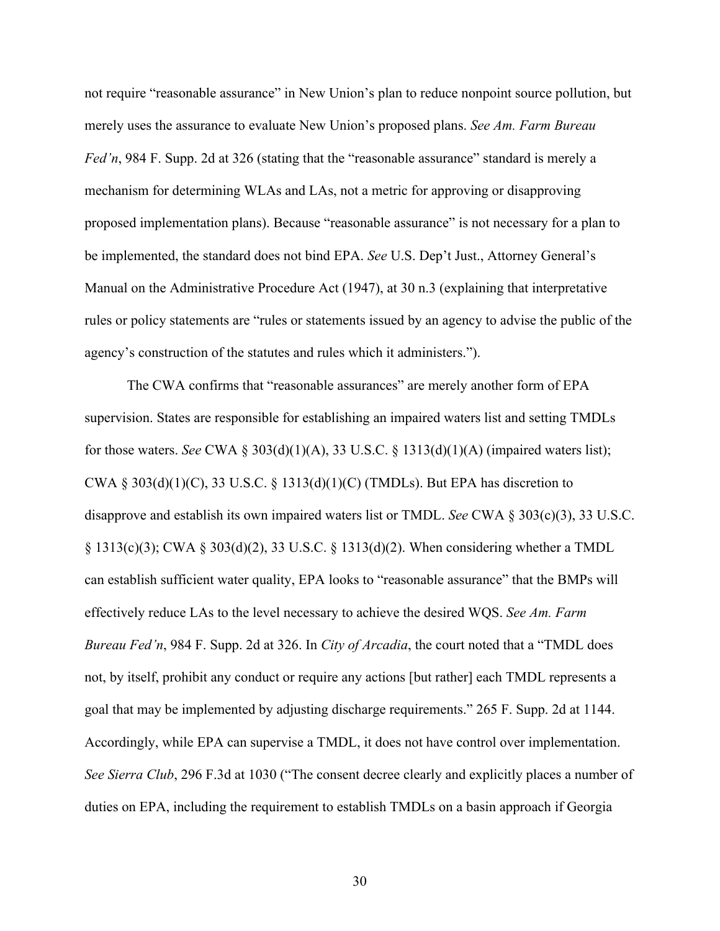not require "reasonable assurance" in New Union's plan to reduce nonpoint source pollution, but merely uses the assurance to evaluate New Union's proposed plans. *See Am. Farm Bureau Fed'n*, 984 F. Supp. 2d at 326 (stating that the "reasonable assurance" standard is merely a mechanism for determining WLAs and LAs, not a metric for approving or disapproving proposed implementation plans). Because "reasonable assurance" is not necessary for a plan to be implemented, the standard does not bind EPA. *See* U.S. Dep't Just., Attorney General's Manual on the Administrative Procedure Act (1947), at 30 n.3 (explaining that interpretative rules or policy statements are "rules or statements issued by an agency to advise the public of the agency's construction of the statutes and rules which it administers.").

The CWA confirms that "reasonable assurances" are merely another form of EPA supervision. States are responsible for establishing an impaired waters list and setting TMDLs for those waters. *See* CWA § 303(d)(1)(A), 33 U.S.C. § 1313(d)(1)(A) (impaired waters list); CWA § 303(d)(1)(C), 33 U.S.C. § 1313(d)(1)(C) (TMDLs). But EPA has discretion to disapprove and establish its own impaired waters list or TMDL. *See* CWA § 303(c)(3), 33 U.S.C. § 1313(c)(3); CWA § 303(d)(2), 33 U.S.C. § 1313(d)(2). When considering whether a TMDL can establish sufficient water quality, EPA looks to "reasonable assurance" that the BMPs will effectively reduce LAs to the level necessary to achieve the desired WQS. *See Am. Farm Bureau Fed'n*, 984 F. Supp. 2d at 326. In *City of Arcadia*, the court noted that a "TMDL does not, by itself, prohibit any conduct or require any actions [but rather] each TMDL represents a goal that may be implemented by adjusting discharge requirements." 265 F. Supp. 2d at 1144. Accordingly, while EPA can supervise a TMDL, it does not have control over implementation. *See Sierra Club*, 296 F.3d at 1030 ("The consent decree clearly and explicitly places a number of duties on EPA, including the requirement to establish TMDLs on a basin approach if Georgia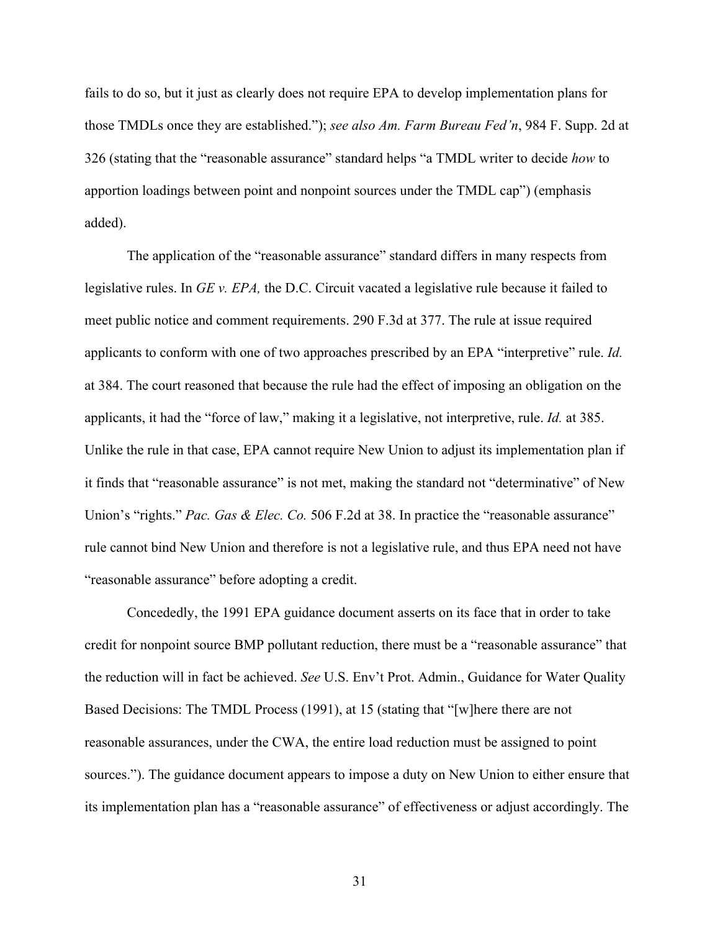fails to do so, but it just as clearly does not require EPA to develop implementation plans for those TMDLs once they are established."); *see also Am. Farm Bureau Fed'n*, 984 F. Supp. 2d at 326 (stating that the "reasonable assurance" standard helps "a TMDL writer to decide *how* to apportion loadings between point and nonpoint sources under the TMDL cap") (emphasis added).

The application of the "reasonable assurance" standard differs in many respects from legislative rules. In *GE v. EPA,* the D.C. Circuit vacated a legislative rule because it failed to meet public notice and comment requirements. 290 F.3d at 377. The rule at issue required applicants to conform with one of two approaches prescribed by an EPA "interpretive" rule. *Id.* at 384. The court reasoned that because the rule had the effect of imposing an obligation on the applicants, it had the "force of law," making it a legislative, not interpretive, rule. *Id.* at 385. Unlike the rule in that case, EPA cannot require New Union to adjust its implementation plan if it finds that "reasonable assurance" is not met, making the standard not "determinative" of New Union's "rights." *Pac. Gas & Elec. Co.* 506 F.2d at 38. In practice the "reasonable assurance" rule cannot bind New Union and therefore is not a legislative rule, and thus EPA need not have "reasonable assurance" before adopting a credit.

Concededly, the 1991 EPA guidance document asserts on its face that in order to take credit for nonpoint source BMP pollutant reduction, there must be a "reasonable assurance" that the reduction will in fact be achieved. *See* U.S. Env't Prot. Admin., Guidance for Water Quality Based Decisions: The TMDL Process (1991), at 15 (stating that "[w]here there are not reasonable assurances, under the CWA, the entire load reduction must be assigned to point sources."). The guidance document appears to impose a duty on New Union to either ensure that its implementation plan has a "reasonable assurance" of effectiveness or adjust accordingly. The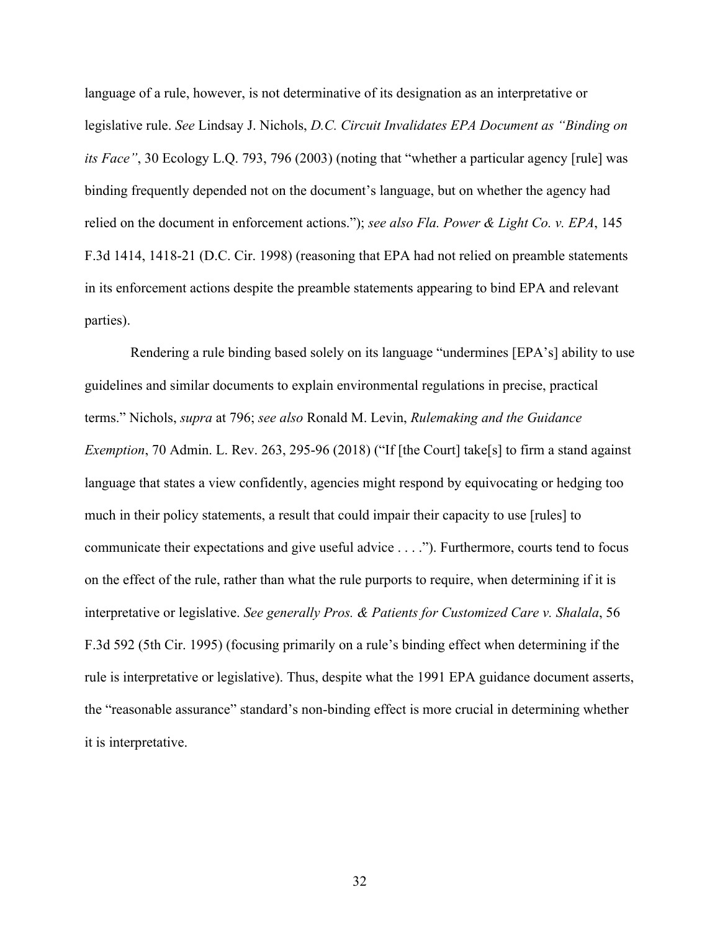language of a rule, however, is not determinative of its designation as an interpretative or legislative rule. *See* Lindsay J. Nichols, *D.C. Circuit Invalidates EPA Document as "Binding on its Face"*, 30 Ecology L.Q. 793, 796 (2003) (noting that "whether a particular agency [rule] was binding frequently depended not on the document's language, but on whether the agency had relied on the document in enforcement actions."); *see also Fla. Power & Light Co. v. EPA*, 145 F.3d 1414, 1418-21 (D.C. Cir. 1998) (reasoning that EPA had not relied on preamble statements in its enforcement actions despite the preamble statements appearing to bind EPA and relevant parties).

Rendering a rule binding based solely on its language "undermines [EPA's] ability to use guidelines and similar documents to explain environmental regulations in precise, practical terms." Nichols, *supra* at 796; *see also* Ronald M. Levin, *Rulemaking and the Guidance Exemption*, 70 Admin. L. Rev. 263, 295-96 (2018) ("If [the Court] take[s] to firm a stand against language that states a view confidently, agencies might respond by equivocating or hedging too much in their policy statements, a result that could impair their capacity to use [rules] to communicate their expectations and give useful advice . . . ."). Furthermore, courts tend to focus on the effect of the rule, rather than what the rule purports to require, when determining if it is interpretative or legislative. *See generally Pros. & Patients for Customized Care v. Shalala*, 56 F.3d 592 (5th Cir. 1995) (focusing primarily on a rule's binding effect when determining if the rule is interpretative or legislative). Thus, despite what the 1991 EPA guidance document asserts, the "reasonable assurance" standard's non-binding effect is more crucial in determining whether it is interpretative.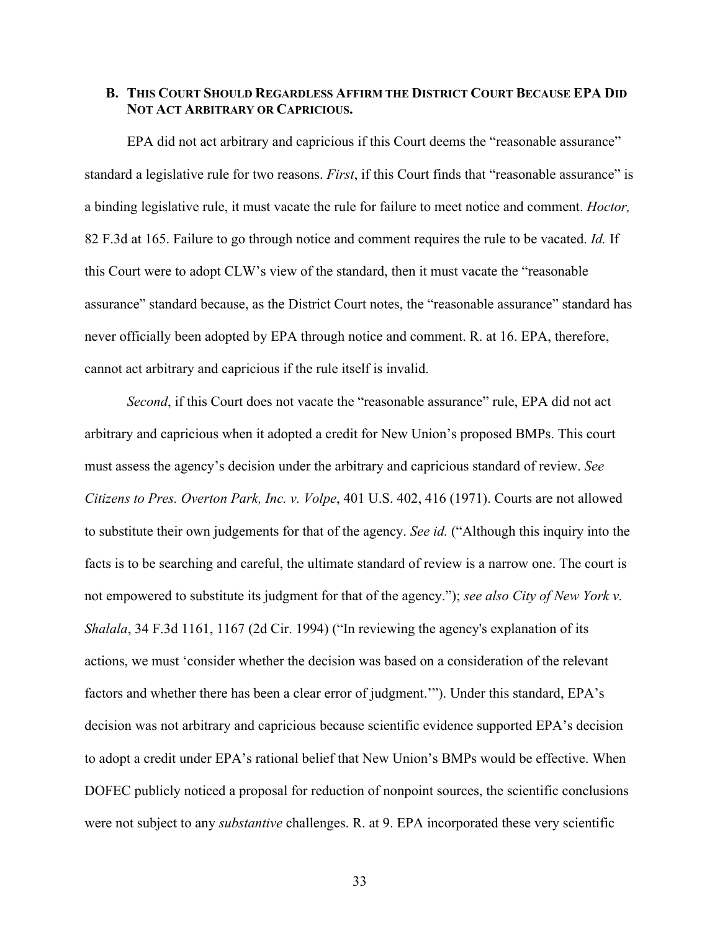### **B. THIS COURT SHOULD REGARDLESS AFFIRM THE DISTRICT COURT BECAUSE EPA DID NOT ACT ARBITRARY OR CAPRICIOUS.**

EPA did not act arbitrary and capricious if this Court deems the "reasonable assurance" standard a legislative rule for two reasons. *First*, if this Court finds that "reasonable assurance" is a binding legislative rule, it must vacate the rule for failure to meet notice and comment. *Hoctor,*  82 F.3d at 165. Failure to go through notice and comment requires the rule to be vacated. *Id.* If this Court were to adopt CLW's view of the standard, then it must vacate the "reasonable assurance" standard because, as the District Court notes, the "reasonable assurance" standard has never officially been adopted by EPA through notice and comment. R. at 16. EPA, therefore, cannot act arbitrary and capricious if the rule itself is invalid.

*Second*, if this Court does not vacate the "reasonable assurance" rule, EPA did not act arbitrary and capricious when it adopted a credit for New Union's proposed BMPs. This court must assess the agency's decision under the arbitrary and capricious standard of review. *See Citizens to Pres. Overton Park, Inc. v. Volpe*, 401 U.S. 402, 416 (1971). Courts are not allowed to substitute their own judgements for that of the agency. *See id.* ("Although this inquiry into the facts is to be searching and careful, the ultimate standard of review is a narrow one. The court is not empowered to substitute its judgment for that of the agency."); *see also City of New York v. Shalala*, 34 F.3d 1161, 1167 (2d Cir. 1994) ("In reviewing the agency's explanation of its actions, we must 'consider whether the decision was based on a consideration of the relevant factors and whether there has been a clear error of judgment.'"). Under this standard, EPA's decision was not arbitrary and capricious because scientific evidence supported EPA's decision to adopt a credit under EPA's rational belief that New Union's BMPs would be effective. When DOFEC publicly noticed a proposal for reduction of nonpoint sources, the scientific conclusions were not subject to any *substantive* challenges. R. at 9. EPA incorporated these very scientific